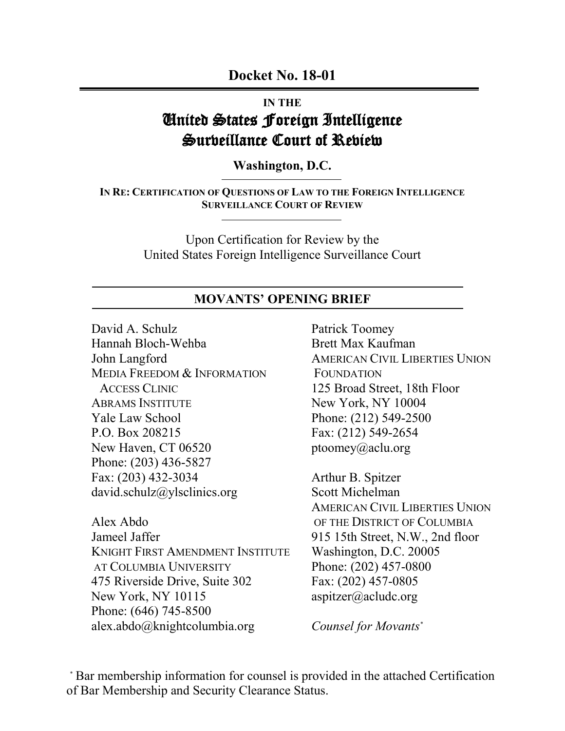**Docket No. 18-01**

# **IN THE**  United States Foreign Intelligence Surbeillance Court of Rebiem

**Washington, D.C.**

**IN RE: CERTIFICATION OF QUESTIONS OF LAW TO THE FOREIGN INTELLIGENCE SURVEILLANCE COURT OF REVIEW**

> Upon Certification for Review by the United States Foreign Intelligence Surveillance Court

### **MOVANTS' OPENING BRIEF**

David A. Schulz Hannah Bloch-Wehba John Langford MEDIA FREEDOM & INFORMATION ACCESS CLINIC ABRAMS INSTITUTE Yale Law School P.O. Box 208215 New Haven, CT 06520 Phone: (203) 436-5827 Fax: (203) 432-3034 david.schulz@ylsclinics.org

Alex Abdo Jameel Jaffer KNIGHT FIRST AMENDMENT INSTITUTE AT COLUMBIA UNIVERSITY 475 Riverside Drive, Suite 302 New York, NY 10115 Phone: (646) 745-8500 alex.abdo@knightcolumbia.org

Patrick Toomey Brett Max Kaufman AMERICAN CIVIL LIBERTIES UNION FOUNDATION 125 Broad Street, 18th Floor New York, NY 10004 Phone: (212) 549-2500 Fax: (212) 549-2654 ptoomey@aclu.org

Arthur B. Spitzer Scott Michelman AMERICAN CIVIL LIBERTIES UNION OF THE DISTRICT OF COLUMBIA 915 15th Street, N.W., 2nd floor Washington, D.C. 20005 Phone: (202) 457-0800 Fax: (202) 457-0805 aspitzer@acludc.org

*Counsel for Movants\**

\* Bar membership information for counsel is provided in the attached Certification of Bar Membership and Security Clearance Status.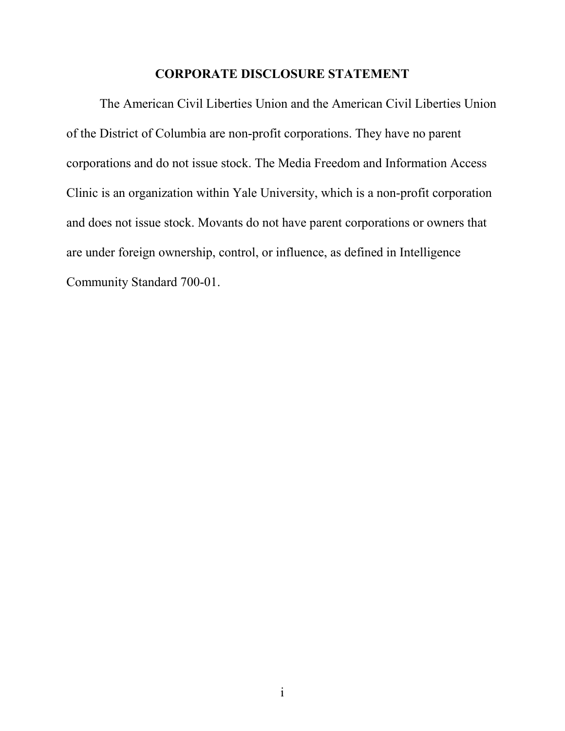## **CORPORATE DISCLOSURE STATEMENT**

The American Civil Liberties Union and the American Civil Liberties Union of the District of Columbia are non-profit corporations. They have no parent corporations and do not issue stock. The Media Freedom and Information Access Clinic is an organization within Yale University, which is a non-profit corporation and does not issue stock. Movants do not have parent corporations or owners that are under foreign ownership, control, or influence, as defined in Intelligence Community Standard 700-01.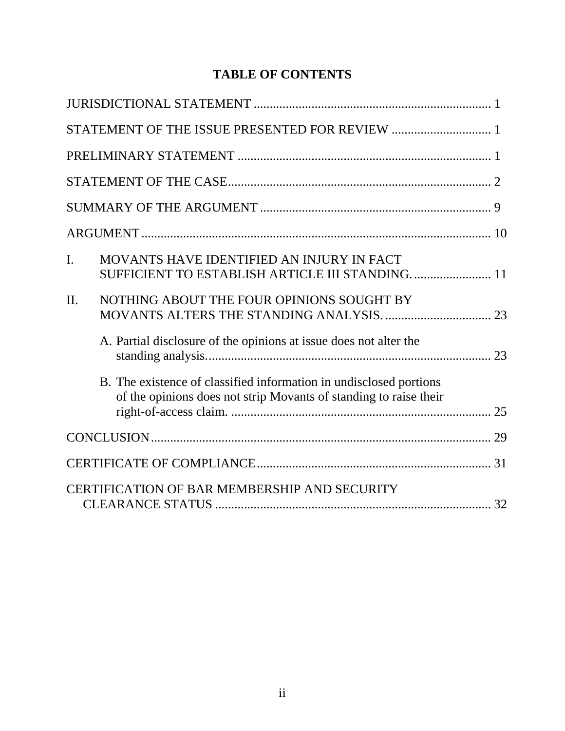# **TABLE OF CONTENTS**

| $\mathbf{I}$ . | MOVANTS HAVE IDENTIFIED AN INJURY IN FACT<br>SUFFICIENT TO ESTABLISH ARTICLE III STANDING 11                                            |  |
|----------------|-----------------------------------------------------------------------------------------------------------------------------------------|--|
| II.            | NOTHING ABOUT THE FOUR OPINIONS SOUGHT BY                                                                                               |  |
|                | A. Partial disclosure of the opinions at issue does not alter the                                                                       |  |
|                | B. The existence of classified information in undisclosed portions<br>of the opinions does not strip Movants of standing to raise their |  |
|                |                                                                                                                                         |  |
|                |                                                                                                                                         |  |
|                | CERTIFICATION OF BAR MEMBERSHIP AND SECURITY                                                                                            |  |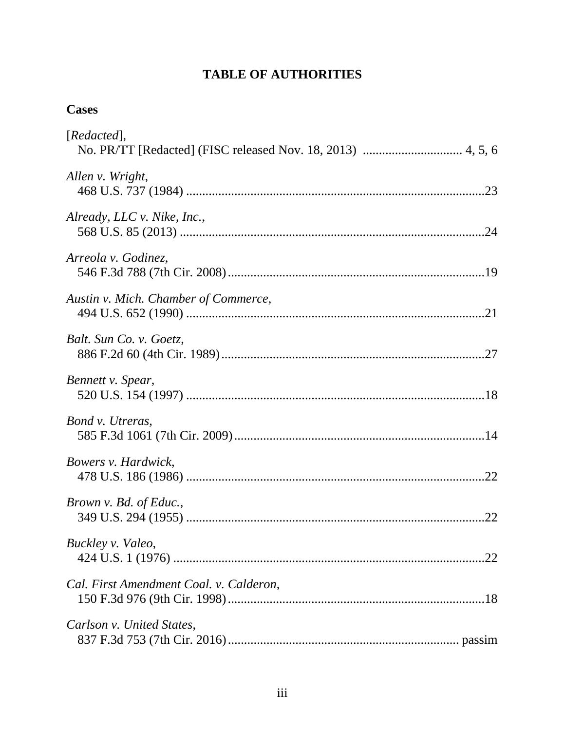# **TABLE OF AUTHORITIES**

# **Cases**

| [Redacted],                             |
|-----------------------------------------|
| Allen v. Wright,                        |
| Already, LLC v. Nike, Inc.,             |
| Arreola v. Godinez,                     |
| Austin v. Mich. Chamber of Commerce,    |
| Balt. Sun Co. v. Goetz,                 |
| Bennett v. Spear,                       |
| Bond v. Utreras,                        |
| Bowers v. Hardwick,                     |
| Brown v. Bd. of Educ.,                  |
| Buckley v. Valeo,                       |
| Cal. First Amendment Coal. v. Calderon, |
| Carlson v. United States,               |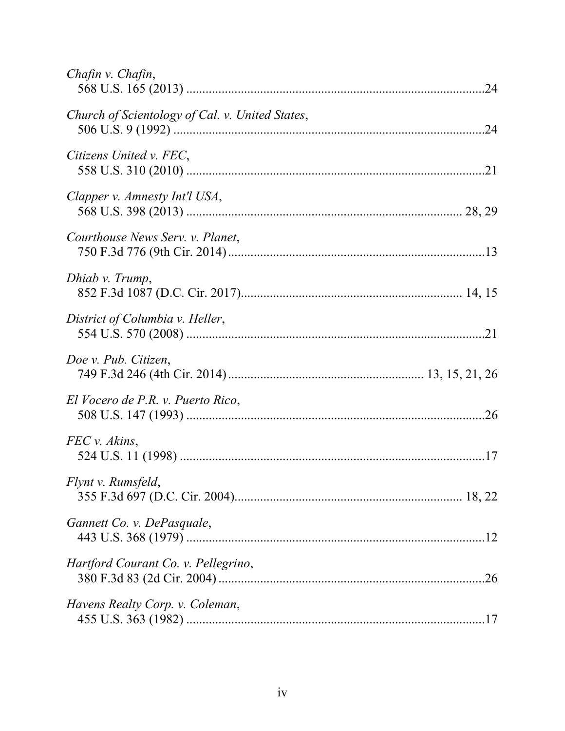| Chafin v. Chafin,                               |  |
|-------------------------------------------------|--|
| Church of Scientology of Cal. v. United States, |  |
| Citizens United v. FEC,                         |  |
| Clapper v. Amnesty Int'l USA,                   |  |
| Courthouse News Serv. v. Planet,                |  |
| Dhiab v. Trump,                                 |  |
| District of Columbia v. Heller,                 |  |
| Doe v. Pub. Citizen,                            |  |
| El Vocero de P.R. v. Puerto Rico,               |  |
| FEC v. Akins,                                   |  |
| Flynt v. Rumsfeld,                              |  |
| Gannett Co. v. DePasquale,                      |  |
| Hartford Courant Co. v. Pellegrino,             |  |
| Havens Realty Corp. v. Coleman,                 |  |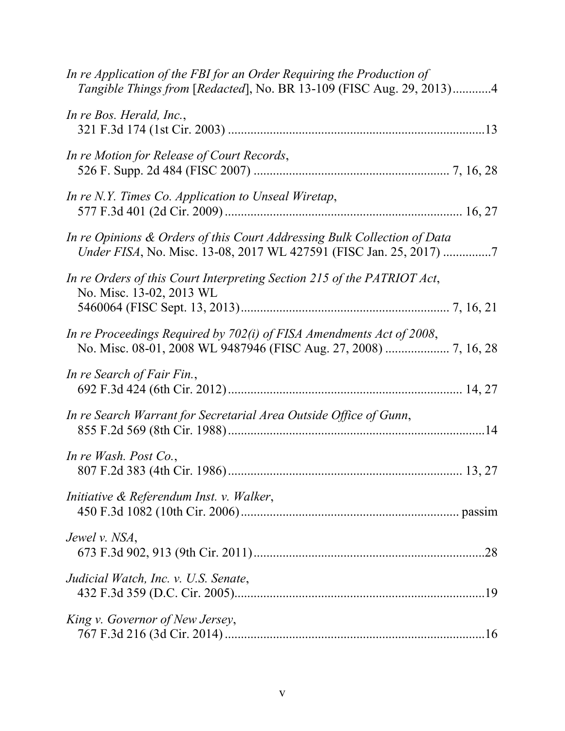| In re Application of the FBI for an Order Requiring the Production of<br>Tangible Things from [Redacted], No. BR 13-109 (FISC Aug. 29, 2013)4  |  |
|------------------------------------------------------------------------------------------------------------------------------------------------|--|
| In re Bos. Herald, Inc.,                                                                                                                       |  |
| In re Motion for Release of Court Records,                                                                                                     |  |
| In re N.Y. Times Co. Application to Unseal Wiretap,                                                                                            |  |
| In re Opinions & Orders of this Court Addressing Bulk Collection of Data<br>Under FISA, No. Misc. 13-08, 2017 WL 427591 (FISC Jan. 25, 2017) 7 |  |
| In re Orders of this Court Interpreting Section 215 of the PATRIOT Act,<br>No. Misc. 13-02, 2013 WL                                            |  |
| In re Proceedings Required by 702(i) of FISA Amendments Act of 2008,                                                                           |  |
| In re Search of Fair Fin.,                                                                                                                     |  |
| In re Search Warrant for Secretarial Area Outside Office of Gunn,                                                                              |  |
| In re Wash. Post $Co$ .,                                                                                                                       |  |
| Initiative & Referendum Inst. v. Walker,                                                                                                       |  |
| Jewel v. NSA,                                                                                                                                  |  |
| Judicial Watch, Inc. v. U.S. Senate,                                                                                                           |  |
| King v. Governor of New Jersey,                                                                                                                |  |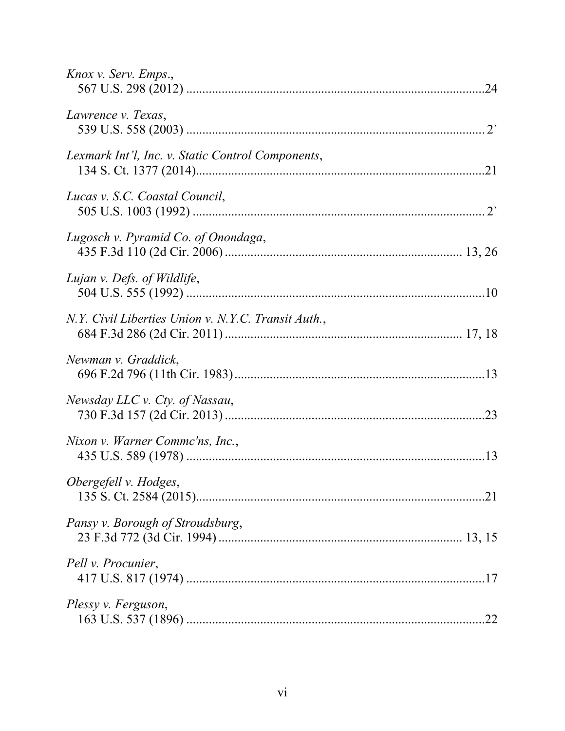| Knox v. Serv. Emps.,                                |  |
|-----------------------------------------------------|--|
| Lawrence v. Texas,                                  |  |
| Lexmark Int'l, Inc. v. Static Control Components,   |  |
| Lucas v. S.C. Coastal Council,                      |  |
| Lugosch v. Pyramid Co. of Onondaga,                 |  |
| Lujan v. Defs. of Wildlife,                         |  |
| N.Y. Civil Liberties Union v. N.Y.C. Transit Auth., |  |
| Newman v. Graddick,                                 |  |
| Newsday LLC v. Cty. of Nassau,                      |  |
| Nixon v. Warner Commc'ns, Inc.,                     |  |
| Obergefell v. Hodges,                               |  |
| Pansy v. Borough of Stroudsburg,                    |  |
| Pell <i>v.</i> Procunier,                           |  |
| Plessy v. Ferguson,                                 |  |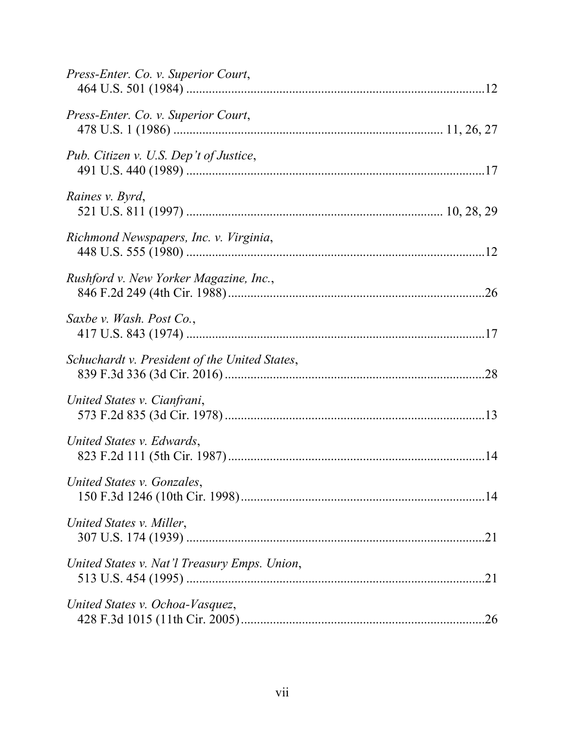| Press-Enter. Co. v. Superior Court,           |  |
|-----------------------------------------------|--|
| Press-Enter. Co. v. Superior Court,           |  |
| Pub. Citizen v. U.S. Dep't of Justice,        |  |
| Raines v. Byrd,                               |  |
| Richmond Newspapers, Inc. v. Virginia,        |  |
| Rushford v. New Yorker Magazine, Inc.,        |  |
| Saxbe v. Wash. Post Co.,                      |  |
| Schuchardt v. President of the United States, |  |
| United States v. Cianfrani,                   |  |
| United States v. Edwards,                     |  |
| United States v. Gonzales,                    |  |
| United States v. Miller,                      |  |
| United States v. Nat'l Treasury Emps. Union,  |  |
| United States v. Ochoa-Vasquez,               |  |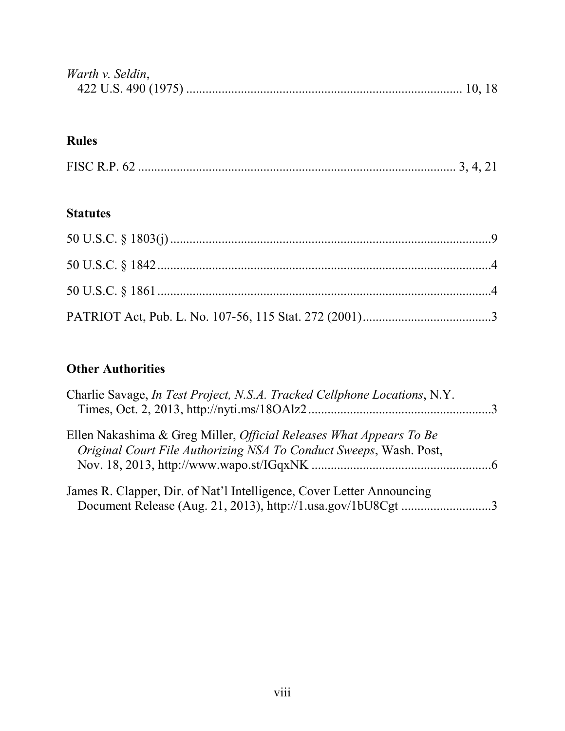| Warth v. Seldin, |  |
|------------------|--|
|                  |  |

# **Rules**

|--|--|--|--|--|

# **Statutes**

# **Other Authorities**

| Charlie Savage, <i>In Test Project, N.S.A. Tracked Cellphone Locations</i> , N.Y.                                                                |  |
|--------------------------------------------------------------------------------------------------------------------------------------------------|--|
| Ellen Nakashima & Greg Miller, <i>Official Releases What Appears To Be</i><br>Original Court File Authorizing NSA To Conduct Sweeps, Wash. Post, |  |
|                                                                                                                                                  |  |
| James R. Clapper, Dir. of Nat'l Intelligence, Cover Letter Announcing<br>Document Release (Aug. 21, 2013), http://1.usa.gov/1bU8Cgt3             |  |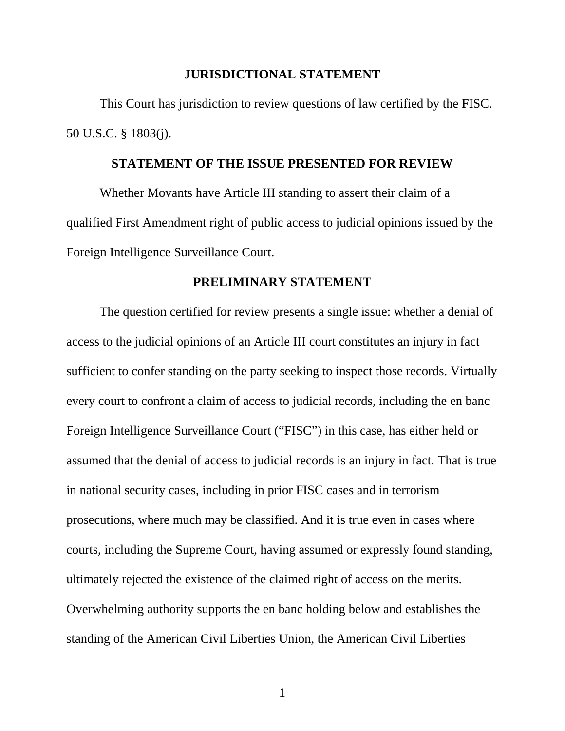#### **JURISDICTIONAL STATEMENT**

This Court has jurisdiction to review questions of law certified by the FISC. 50 U.S.C. § 1803(j).

#### **STATEMENT OF THE ISSUE PRESENTED FOR REVIEW**

Whether Movants have Article III standing to assert their claim of a qualified First Amendment right of public access to judicial opinions issued by the Foreign Intelligence Surveillance Court.

#### **PRELIMINARY STATEMENT**

The question certified for review presents a single issue: whether a denial of access to the judicial opinions of an Article III court constitutes an injury in fact sufficient to confer standing on the party seeking to inspect those records. Virtually every court to confront a claim of access to judicial records, including the en banc Foreign Intelligence Surveillance Court ("FISC") in this case, has either held or assumed that the denial of access to judicial records is an injury in fact. That is true in national security cases, including in prior FISC cases and in terrorism prosecutions, where much may be classified. And it is true even in cases where courts, including the Supreme Court, having assumed or expressly found standing, ultimately rejected the existence of the claimed right of access on the merits. Overwhelming authority supports the en banc holding below and establishes the standing of the American Civil Liberties Union, the American Civil Liberties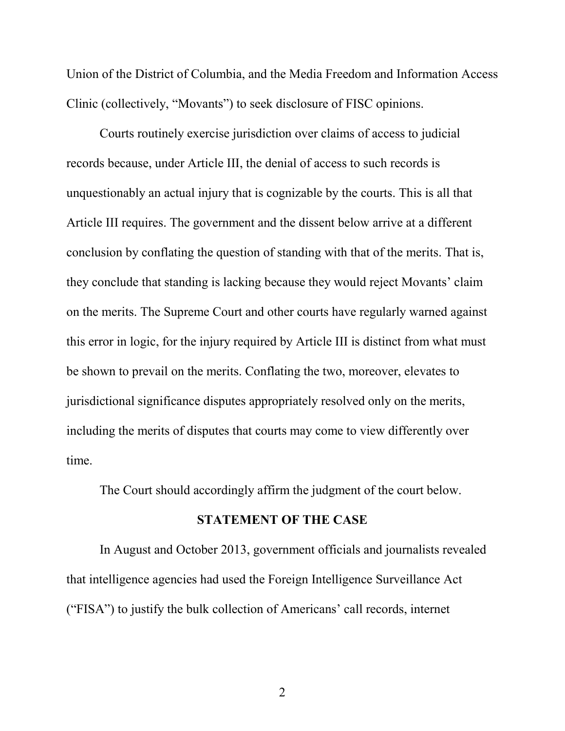Union of the District of Columbia, and the Media Freedom and Information Access Clinic (collectively, "Movants") to seek disclosure of FISC opinions.

Courts routinely exercise jurisdiction over claims of access to judicial records because, under Article III, the denial of access to such records is unquestionably an actual injury that is cognizable by the courts. This is all that Article III requires. The government and the dissent below arrive at a different conclusion by conflating the question of standing with that of the merits. That is, they conclude that standing is lacking because they would reject Movants' claim on the merits. The Supreme Court and other courts have regularly warned against this error in logic, for the injury required by Article III is distinct from what must be shown to prevail on the merits. Conflating the two, moreover, elevates to jurisdictional significance disputes appropriately resolved only on the merits, including the merits of disputes that courts may come to view differently over time.

The Court should accordingly affirm the judgment of the court below.

### **STATEMENT OF THE CASE**

In August and October 2013, government officials and journalists revealed that intelligence agencies had used the Foreign Intelligence Surveillance Act ("FISA") to justify the bulk collection of Americans' call records, internet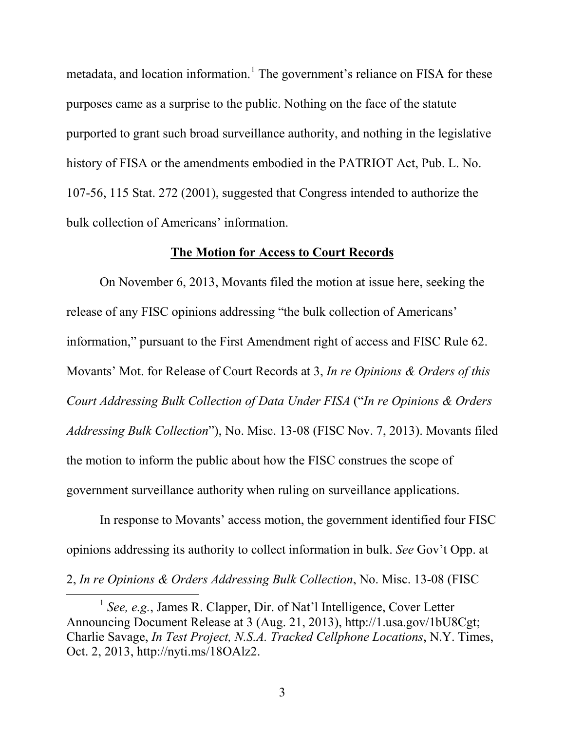metadata, and location information.<sup>[1](#page-11-0)</sup> The government's reliance on FISA for these purposes came as a surprise to the public. Nothing on the face of the statute purported to grant such broad surveillance authority, and nothing in the legislative history of FISA or the amendments embodied in the PATRIOT Act, Pub. L. No. 107-56, 115 Stat. 272 (2001), suggested that Congress intended to authorize the bulk collection of Americans' information.

#### **The Motion for Access to Court Records**

On November 6, 2013, Movants filed the motion at issue here, seeking the release of any FISC opinions addressing "the bulk collection of Americans' information," pursuant to the First Amendment right of access and FISC Rule 62. Movants' Mot. for Release of Court Records at 3, *In re Opinions & Orders of this Court Addressing Bulk Collection of Data Under FISA* ("*In re Opinions & Orders Addressing Bulk Collection*"), No. Misc. 13-08 (FISC Nov. 7, 2013). Movants filed the motion to inform the public about how the FISC construes the scope of government surveillance authority when ruling on surveillance applications.

In response to Movants' access motion, the government identified four FISC opinions addressing its authority to collect information in bulk. *See* Gov't Opp. at

2, *In re Opinions & Orders Addressing Bulk Collection*, No. Misc. 13-08 (FISC

 $\overline{a}$ 

<span id="page-11-0"></span><sup>&</sup>lt;sup>1</sup> See, e.g., James R. Clapper, Dir. of Nat'l Intelligence, Cover Letter Announcing Document Release at 3 (Aug. 21, 2013), http://1.usa.gov/1bU8Cgt; Charlie Savage, *In Test Project, N.S.A. Tracked Cellphone Locations*, N.Y. Times, Oct. 2, 2013, http://nyti.ms/18OAlz2.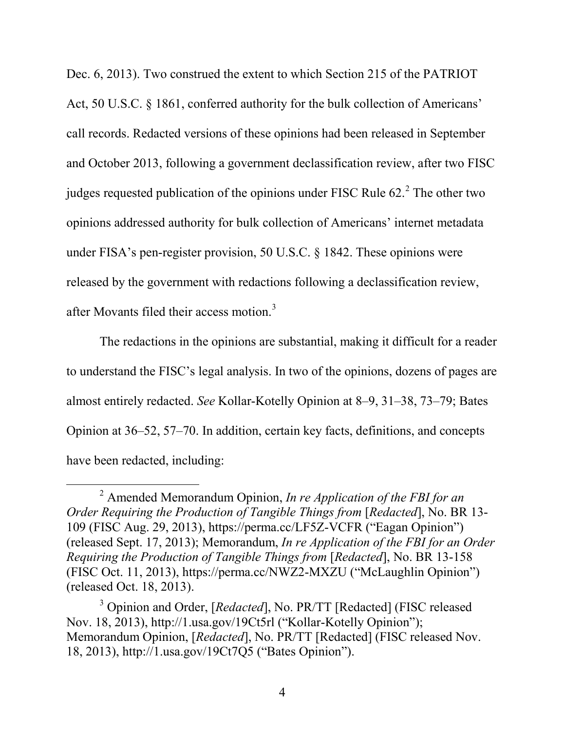Dec. 6, 2013). Two construed the extent to which Section 215 of the PATRIOT Act, 50 U.S.C. § 1861, conferred authority for the bulk collection of Americans' call records. Redacted versions of these opinions had been released in September and October 2013, following a government declassification review, after two FISC judges requested publication of the opinions under FISC Rule  $62<sup>2</sup>$  $62<sup>2</sup>$  $62<sup>2</sup>$ . The other two opinions addressed authority for bulk collection of Americans' internet metadata under FISA's pen-register provision, 50 U.S.C. § 1842. These opinions were released by the government with redactions following a declassification review, after Movants filed their access motion.<sup>[3](#page-12-1)</sup>

The redactions in the opinions are substantial, making it difficult for a reader to understand the FISC's legal analysis. In two of the opinions, dozens of pages are almost entirely redacted. *See* Kollar-Kotelly Opinion at 8–9, 31–38, 73–79; Bates Opinion at 36–52, 57–70. In addition, certain key facts, definitions, and concepts have been redacted, including:

 $\overline{a}$ 

<span id="page-12-0"></span><sup>2</sup> Amended Memorandum Opinion, *In re Application of the FBI for an Order Requiring the Production of Tangible Things from* [*Redacted*], No. BR 13- 109 (FISC Aug. 29, 2013), https://perma.cc/LF5Z-VCFR ("Eagan Opinion") (released Sept. 17, 2013); Memorandum, *In re Application of the FBI for an Order Requiring the Production of Tangible Things from* [*Redacted*], No. BR 13-158 (FISC Oct. 11, 2013), https://perma.cc/NWZ2-MXZU ("McLaughlin Opinion") (released Oct. 18, 2013).

<span id="page-12-1"></span><sup>&</sup>lt;sup>3</sup> Opinion and Order, [*Redacted*], No. PR/TT [Redacted] (FISC released Nov. 18, 2013), http://1.usa.gov/19Ct5rl ("Kollar-Kotelly Opinion"); Memorandum Opinion, [*Redacted*], No. PR/TT [Redacted] (FISC released Nov. 18, 2013), http://1.usa.gov/19Ct7Q5 ("Bates Opinion").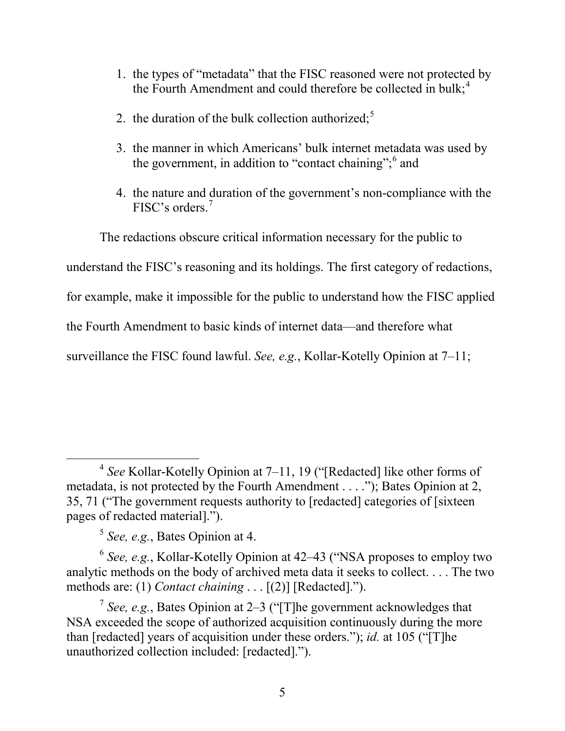- 1. the types of "metadata" that the FISC reasoned were not protected by the Fourth Amendment and could therefore be collected in bulk; $<sup>4</sup>$  $<sup>4</sup>$  $<sup>4</sup>$ </sup>
- 2. the duration of the bulk collection authorized; $<sup>5</sup>$  $<sup>5</sup>$  $<sup>5</sup>$ </sup>
- 3. the manner in which Americans' bulk internet metadata was used by the government, in addition to "contact chaining";  $6$  and
- 4. the nature and duration of the government's non-compliance with the FISC's orders.[7](#page-13-3)

The redactions obscure critical information necessary for the public to

understand the FISC's reasoning and its holdings. The first category of redactions,

for example, make it impossible for the public to understand how the FISC applied

the Fourth Amendment to basic kinds of internet data—and therefore what

surveillance the FISC found lawful. *See, e.g.*, Kollar-Kotelly Opinion at 7–11;

<sup>5</sup> *See, e.g.*, Bates Opinion at 4.

<span id="page-13-2"></span><span id="page-13-1"></span><sup>6</sup> *See, e.g.*, Kollar-Kotelly Opinion at 42–43 ("NSA proposes to employ two analytic methods on the body of archived meta data it seeks to collect. . . . The two methods are: (1) *Contact chaining* . . . [(2)] [Redacted].").

<span id="page-13-0"></span><sup>4</sup> *See* Kollar-Kotelly Opinion at 7–11, 19 ("[Redacted] like other forms of metadata, is not protected by the Fourth Amendment . . . ."); Bates Opinion at 2, 35, 71 ("The government requests authority to [redacted] categories of [sixteen pages of redacted material].").  $\overline{a}$ 

<span id="page-13-3"></span><sup>7</sup> *See, e.g.*, Bates Opinion at 2–3 ("[T]he government acknowledges that NSA exceeded the scope of authorized acquisition continuously during the more than [redacted] years of acquisition under these orders."); *id.* at 105 ("[T]he unauthorized collection included: [redacted].").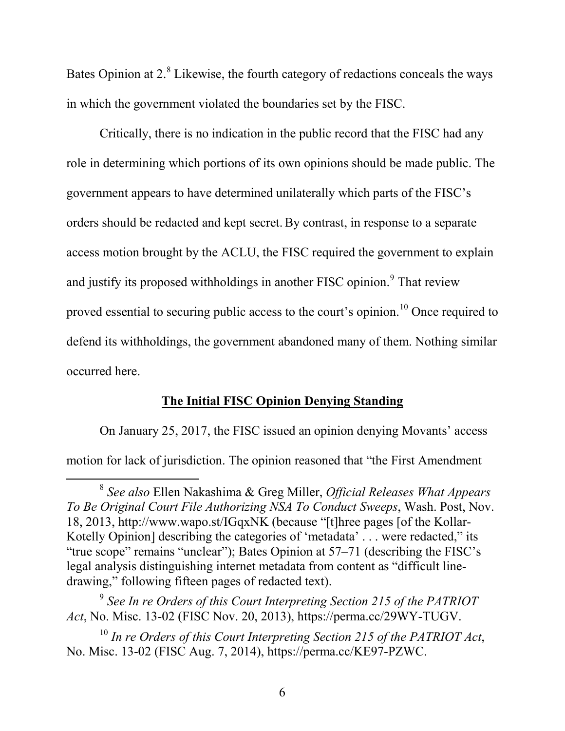Bates Opinion at 2.<sup>[8](#page-14-0)</sup> Likewise, the fourth category of redactions conceals the ways in which the government violated the boundaries set by the FISC.

Critically, there is no indication in the public record that the FISC had any role in determining which portions of its own opinions should be made public. The government appears to have determined unilaterally which parts of the FISC's orders should be redacted and kept secret.By contrast, in response to a separate access motion brought by the ACLU, the FISC required the government to explain and justify its proposed withholdings in another FISC opinion.<sup>[9](#page-14-1)</sup> That review proved essential to securing public access to the court's opinion.<sup>[10](#page-14-2)</sup> Once required to defend its withholdings, the government abandoned many of them. Nothing similar occurred here.

## **The Initial FISC Opinion Denying Standing**

On January 25, 2017, the FISC issued an opinion denying Movants' access motion for lack of jurisdiction. The opinion reasoned that "the First Amendment

<span id="page-14-0"></span><sup>8</sup> *See also* Ellen Nakashima & Greg Miller, *Official Releases What Appears To Be Original Court File Authorizing NSA To Conduct Sweeps*, Wash. Post, Nov. 18, 2013, http://www.wapo.st/IGqxNK (because "[t]hree pages [of the Kollar-Kotelly Opinion] describing the categories of 'metadata' . . . were redacted," its "true scope" remains "unclear"); Bates Opinion at 57–71 (describing the FISC's legal analysis distinguishing internet metadata from content as "difficult linedrawing," following fifteen pages of redacted text).  $\overline{a}$ 

<span id="page-14-1"></span><sup>9</sup> *See In re Orders of this Court Interpreting Section 215 of the PATRIOT Act*, No. Misc. 13-02 (FISC Nov. 20, 2013), https://perma.cc/29WY-TUGV.

<span id="page-14-2"></span><sup>10</sup> *In re Orders of this Court Interpreting Section 215 of the PATRIOT Act*, No. Misc. 13-02 (FISC Aug. 7, 2014), https://perma.cc/KE97-PZWC.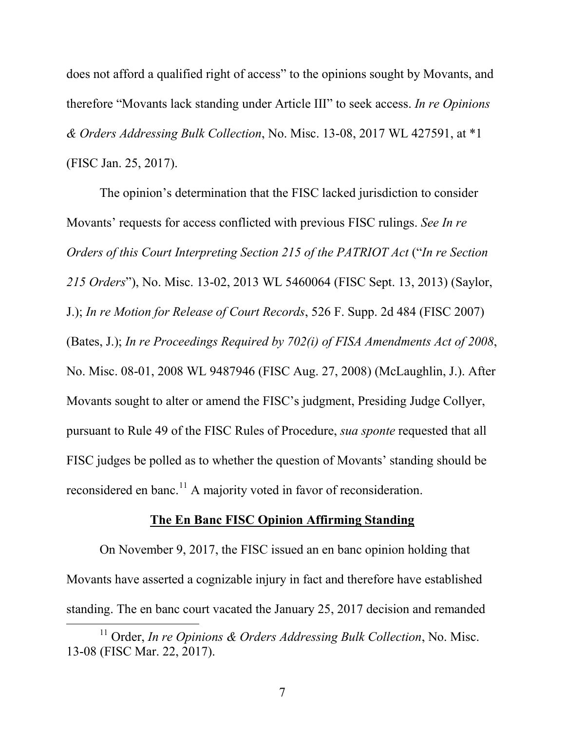does not afford a qualified right of access" to the opinions sought by Movants, and therefore "Movants lack standing under Article III" to seek access. *In re Opinions & Orders Addressing Bulk Collection*, No. Misc. 13-08, 2017 WL 427591, at \*1 (FISC Jan. 25, 2017).

The opinion's determination that the FISC lacked jurisdiction to consider Movants' requests for access conflicted with previous FISC rulings. *See In re Orders of this Court Interpreting Section 215 of the PATRIOT Act* ("*In re Section 215 Orders*"), No. Misc. 13-02, 2013 WL 5460064 (FISC Sept. 13, 2013) (Saylor, J.); *In re Motion for Release of Court Records*, 526 F. Supp. 2d 484 (FISC 2007) (Bates, J.); *In re Proceedings Required by 702(i) of FISA Amendments Act of 2008*, No. Misc. 08-01, 2008 WL 9487946 (FISC Aug. 27, 2008) (McLaughlin, J.). After Movants sought to alter or amend the FISC's judgment, Presiding Judge Collyer, pursuant to Rule 49 of the FISC Rules of Procedure, *sua sponte* requested that all FISC judges be polled as to whether the question of Movants' standing should be reconsidered en banc.<sup>[11](#page-15-0)</sup> A majority voted in favor of reconsideration.

## **The En Banc FISC Opinion Affirming Standing**

On November 9, 2017, the FISC issued an en banc opinion holding that Movants have asserted a cognizable injury in fact and therefore have established standing. The en banc court vacated the January 25, 2017 decision and remanded

 $\overline{a}$ 

<span id="page-15-0"></span><sup>&</sup>lt;sup>11</sup> Order, *In re Opinions & Orders Addressing Bulk Collection*, No. Misc. 13-08 (FISC Mar. 22, 2017).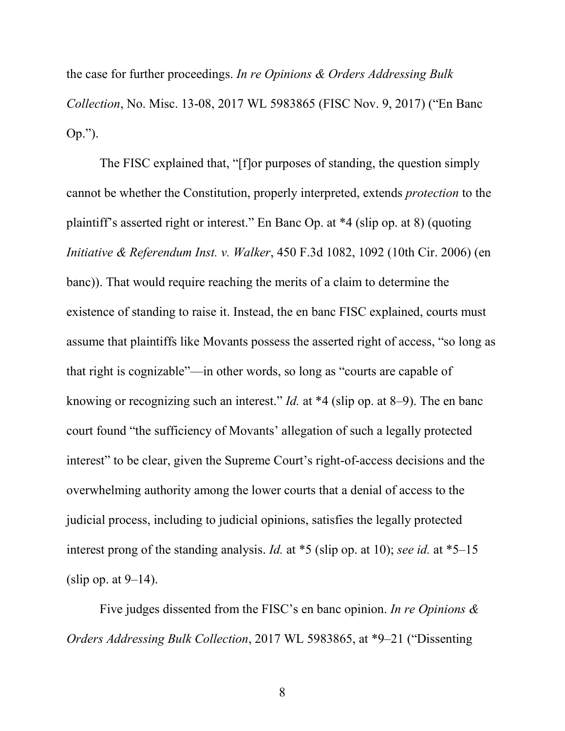the case for further proceedings. *In re Opinions & Orders Addressing Bulk Collection*, No. Misc. 13-08, 2017 WL 5983865 (FISC Nov. 9, 2017) ("En Banc Op.").

The FISC explained that, "[f]or purposes of standing, the question simply cannot be whether the Constitution, properly interpreted, extends *protection* to the plaintiff's asserted right or interest." En Banc Op. at \*4 (slip op. at 8) (quoting *Initiative & Referendum Inst. v. Walker*, 450 F.3d 1082, 1092 (10th Cir. 2006) (en banc)). That would require reaching the merits of a claim to determine the existence of standing to raise it. Instead, the en banc FISC explained, courts must assume that plaintiffs like Movants possess the asserted right of access, "so long as that right is cognizable"—in other words, so long as "courts are capable of knowing or recognizing such an interest." *Id.* at \*4 (slip op. at 8–9). The en banc court found "the sufficiency of Movants' allegation of such a legally protected interest" to be clear, given the Supreme Court's right-of-access decisions and the overwhelming authority among the lower courts that a denial of access to the judicial process, including to judicial opinions, satisfies the legally protected interest prong of the standing analysis. *Id.* at \*5 (slip op. at 10); *see id.* at \*5–15 (slip op. at  $9-14$ ).

Five judges dissented from the FISC's en banc opinion. *In re Opinions & Orders Addressing Bulk Collection*, 2017 WL 5983865, at \*9–21 ("Dissenting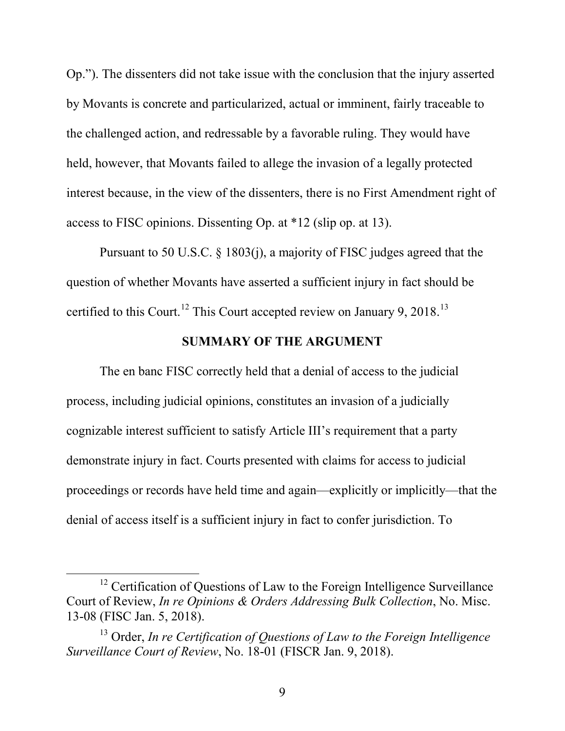Op."). The dissenters did not take issue with the conclusion that the injury asserted by Movants is concrete and particularized, actual or imminent, fairly traceable to the challenged action, and redressable by a favorable ruling. They would have held, however, that Movants failed to allege the invasion of a legally protected interest because, in the view of the dissenters, there is no First Amendment right of access to FISC opinions. Dissenting Op. at \*12 (slip op. at 13).

Pursuant to 50 U.S.C. § 1803(j), a majority of FISC judges agreed that the question of whether Movants have asserted a sufficient injury in fact should be certified to this Court.<sup>[12](#page-17-0)</sup> This Court accepted review on January 9, 2018.<sup>[13](#page-17-1)</sup>

## **SUMMARY OF THE ARGUMENT**

The en banc FISC correctly held that a denial of access to the judicial process, including judicial opinions, constitutes an invasion of a judicially cognizable interest sufficient to satisfy Article III's requirement that a party demonstrate injury in fact. Courts presented with claims for access to judicial proceedings or records have held time and again—explicitly or implicitly—that the denial of access itself is a sufficient injury in fact to confer jurisdiction. To

 $\overline{a}$ 

<span id="page-17-0"></span><sup>&</sup>lt;sup>12</sup> Certification of Questions of Law to the Foreign Intelligence Surveillance Court of Review, *In re Opinions & Orders Addressing Bulk Collection*, No. Misc. 13-08 (FISC Jan. 5, 2018).

<span id="page-17-1"></span><sup>13</sup> Order, *In re Certification of Questions of Law to the Foreign Intelligence Surveillance Court of Review*, No. 18-01 (FISCR Jan. 9, 2018).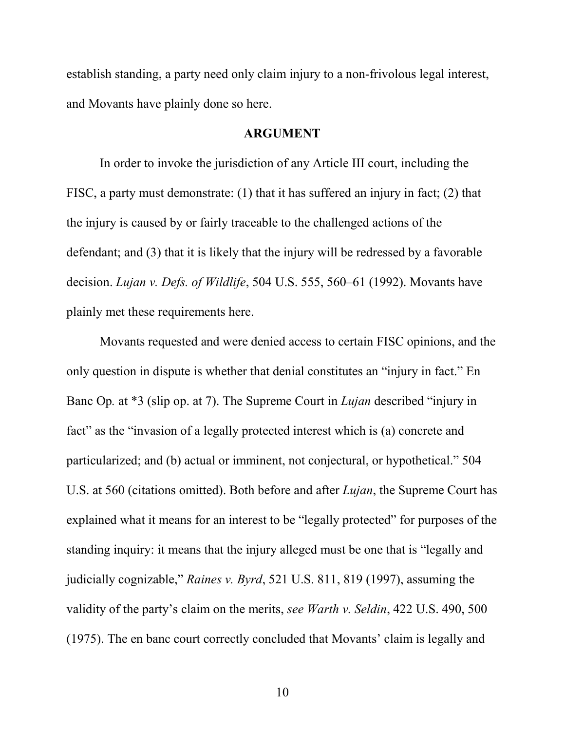establish standing, a party need only claim injury to a non-frivolous legal interest, and Movants have plainly done so here.

### **ARGUMENT**

In order to invoke the jurisdiction of any Article III court, including the FISC, a party must demonstrate: (1) that it has suffered an injury in fact; (2) that the injury is caused by or fairly traceable to the challenged actions of the defendant; and (3) that it is likely that the injury will be redressed by a favorable decision. *Lujan v. Defs. of Wildlife*, 504 U.S. 555, 560–61 (1992). Movants have plainly met these requirements here.

Movants requested and were denied access to certain FISC opinions, and the only question in dispute is whether that denial constitutes an "injury in fact." En Banc Op*.* at \*3 (slip op. at 7). The Supreme Court in *Lujan* described "injury in fact" as the "invasion of a legally protected interest which is (a) concrete and particularized; and (b) actual or imminent, not conjectural, or hypothetical." 504 U.S. at 560 (citations omitted). Both before and after *Lujan*, the Supreme Court has explained what it means for an interest to be "legally protected" for purposes of the standing inquiry: it means that the injury alleged must be one that is "legally and judicially cognizable," *Raines v. Byrd*, 521 U.S. 811, 819 (1997), assuming the validity of the party's claim on the merits, *see Warth v. Seldin*, 422 U.S. 490, 500 (1975). The en banc court correctly concluded that Movants' claim is legally and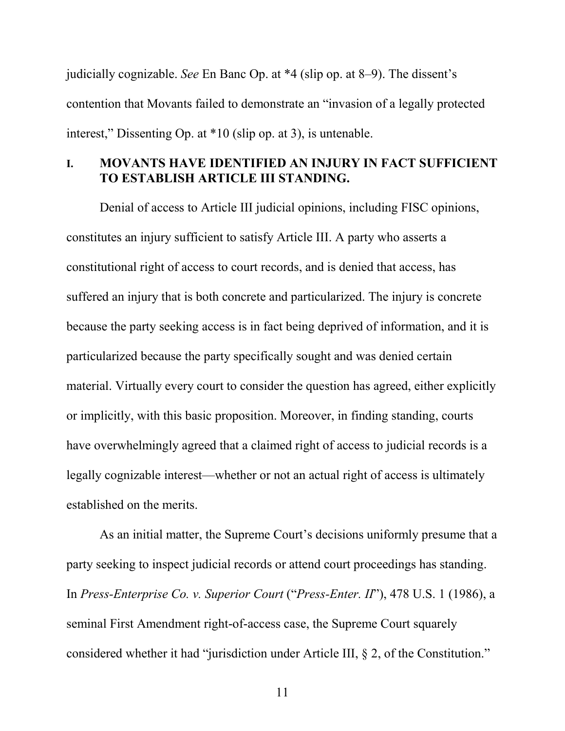judicially cognizable. *See* En Banc Op. at \*4 (slip op. at 8–9). The dissent's contention that Movants failed to demonstrate an "invasion of a legally protected interest," Dissenting Op. at \*10 (slip op. at 3), is untenable.

# **I. MOVANTS HAVE IDENTIFIED AN INJURY IN FACT SUFFICIENT TO ESTABLISH ARTICLE III STANDING.**

Denial of access to Article III judicial opinions, including FISC opinions, constitutes an injury sufficient to satisfy Article III. A party who asserts a constitutional right of access to court records, and is denied that access, has suffered an injury that is both concrete and particularized. The injury is concrete because the party seeking access is in fact being deprived of information, and it is particularized because the party specifically sought and was denied certain material. Virtually every court to consider the question has agreed, either explicitly or implicitly, with this basic proposition. Moreover, in finding standing, courts have overwhelmingly agreed that a claimed right of access to judicial records is a legally cognizable interest—whether or not an actual right of access is ultimately established on the merits.

As an initial matter, the Supreme Court's decisions uniformly presume that a party seeking to inspect judicial records or attend court proceedings has standing. In *Press-Enterprise Co. v. Superior Court* ("*Press-Enter. II*"), 478 U.S. 1 (1986), a seminal First Amendment right-of-access case, the Supreme Court squarely considered whether it had "jurisdiction under Article III, § 2, of the Constitution."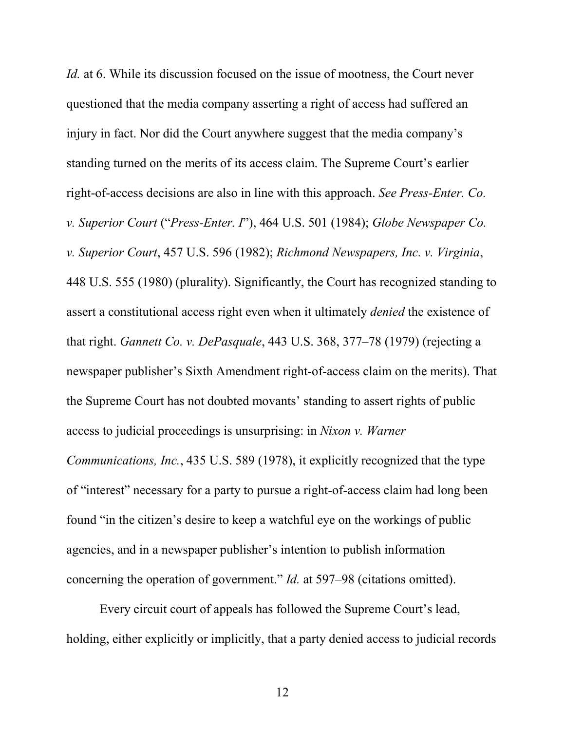*Id.* at 6. While its discussion focused on the issue of mootness, the Court never questioned that the media company asserting a right of access had suffered an injury in fact. Nor did the Court anywhere suggest that the media company's standing turned on the merits of its access claim. The Supreme Court's earlier right-of-access decisions are also in line with this approach. *See Press-Enter. Co. v. Superior Court* ("*Press-Enter. I*"), 464 U.S. 501 (1984); *Globe Newspaper Co. v. Superior Court*, 457 U.S. 596 (1982); *Richmond Newspapers, Inc. v. Virginia*, 448 U.S. 555 (1980) (plurality). Significantly, the Court has recognized standing to assert a constitutional access right even when it ultimately *denied* the existence of that right. *Gannett Co. v. DePasquale*, 443 U.S. 368, 377–78 (1979) (rejecting a newspaper publisher's Sixth Amendment right-of-access claim on the merits). That the Supreme Court has not doubted movants' standing to assert rights of public access to judicial proceedings is unsurprising: in *Nixon v. Warner* 

*Communications, Inc.*, 435 U.S. 589 (1978), it explicitly recognized that the type of "interest" necessary for a party to pursue a right-of-access claim had long been found "in the citizen's desire to keep a watchful eye on the workings of public agencies, and in a newspaper publisher's intention to publish information concerning the operation of government." *Id.* at 597–98 (citations omitted).

Every circuit court of appeals has followed the Supreme Court's lead, holding, either explicitly or implicitly, that a party denied access to judicial records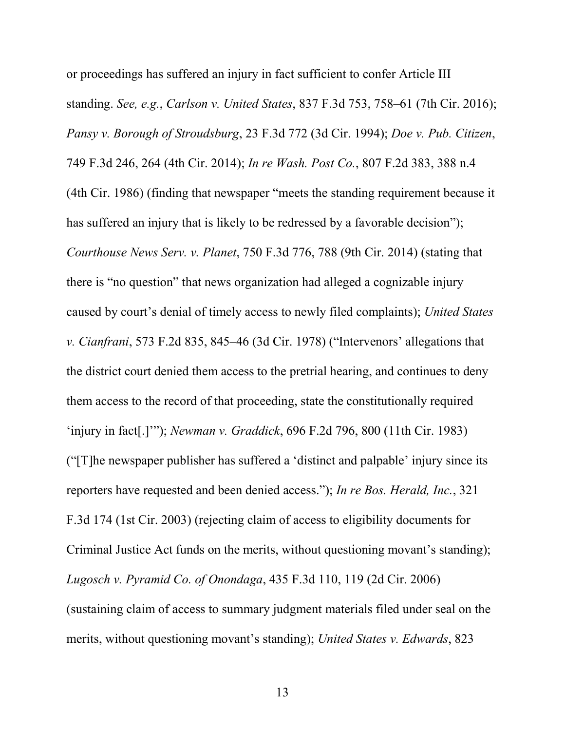or proceedings has suffered an injury in fact sufficient to confer Article III standing. *See, e.g.*, *Carlson v. United States*, 837 F.3d 753, 758–61 (7th Cir. 2016); *Pansy v. Borough of Stroudsburg*, 23 F.3d 772 (3d Cir. 1994); *Doe v. Pub. Citizen*, 749 F.3d 246, 264 (4th Cir. 2014); *In re Wash. Post Co.*, 807 F.2d 383, 388 n.4 (4th Cir. 1986) (finding that newspaper "meets the standing requirement because it has suffered an injury that is likely to be redressed by a favorable decision"); *Courthouse News Serv. v. Planet*, 750 F.3d 776, 788 (9th Cir. 2014) (stating that there is "no question" that news organization had alleged a cognizable injury caused by court's denial of timely access to newly filed complaints); *United States v. Cianfrani*, 573 F.2d 835, 845–46 (3d Cir. 1978) ("Intervenors' allegations that the district court denied them access to the pretrial hearing, and continues to deny them access to the record of that proceeding, state the constitutionally required 'injury in fact[.]'"); *Newman v. Graddick*, 696 F.2d 796, 800 (11th Cir. 1983) ("[T]he newspaper publisher has suffered a 'distinct and palpable' injury since its reporters have requested and been denied access."); *In re Bos. Herald, Inc.*, 321 F.3d 174 (1st Cir. 2003) (rejecting claim of access to eligibility documents for Criminal Justice Act funds on the merits, without questioning movant's standing); *Lugosch v. Pyramid Co. of Onondaga*, 435 F.3d 110, 119 (2d Cir. 2006) (sustaining claim of access to summary judgment materials filed under seal on the merits, without questioning movant's standing); *United States v. Edwards*, 823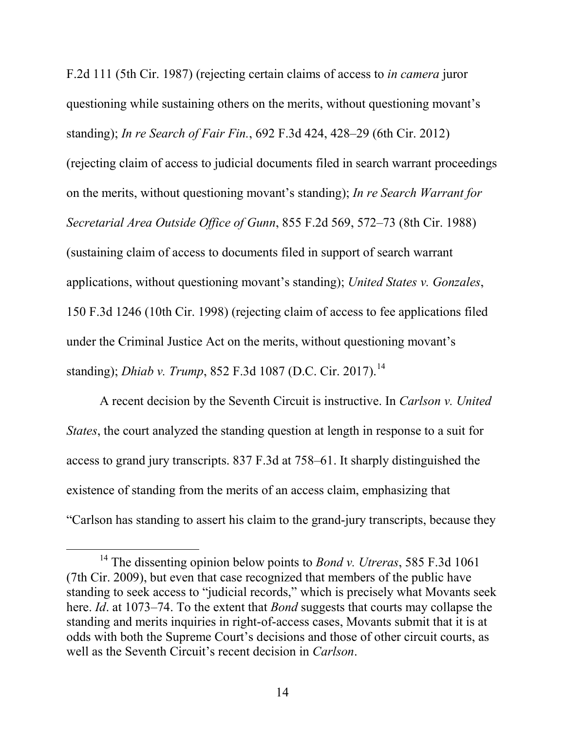F.2d 111 (5th Cir. 1987) (rejecting certain claims of access to *in camera* juror questioning while sustaining others on the merits, without questioning movant's standing); *In re Search of Fair Fin.*, 692 F.3d 424, 428–29 (6th Cir. 2012) (rejecting claim of access to judicial documents filed in search warrant proceedings on the merits, without questioning movant's standing); *In re Search Warrant for Secretarial Area Outside Office of Gunn*, 855 F.2d 569, 572–73 (8th Cir. 1988) (sustaining claim of access to documents filed in support of search warrant applications, without questioning movant's standing); *United States v. Gonzales*, 150 F.3d 1246 (10th Cir. 1998) (rejecting claim of access to fee applications filed under the Criminal Justice Act on the merits, without questioning movant's standing); *Dhiab v. Trump*, 852 F.3d 1087 (D.C. Cir. 2017). [14](#page-23-0)

A recent decision by the Seventh Circuit is instructive. In *Carlson v. United States*, the court analyzed the standing question at length in response to a suit for access to grand jury transcripts. 837 F.3d at 758–61. It sharply distinguished the existence of standing from the merits of an access claim, emphasizing that "Carlson has standing to assert his claim to the grand-jury transcripts, because they

 $\overline{a}$ 

<sup>14</sup> The dissenting opinion below points to *Bond v. Utreras*, 585 F.3d 1061 (7th Cir. 2009), but even that case recognized that members of the public have standing to seek access to "judicial records," which is precisely what Movants seek here. *Id*. at 1073–74. To the extent that *Bond* suggests that courts may collapse the standing and merits inquiries in right-of-access cases, Movants submit that it is at odds with both the Supreme Court's decisions and those of other circuit courts, as well as the Seventh Circuit's recent decision in *Carlson*.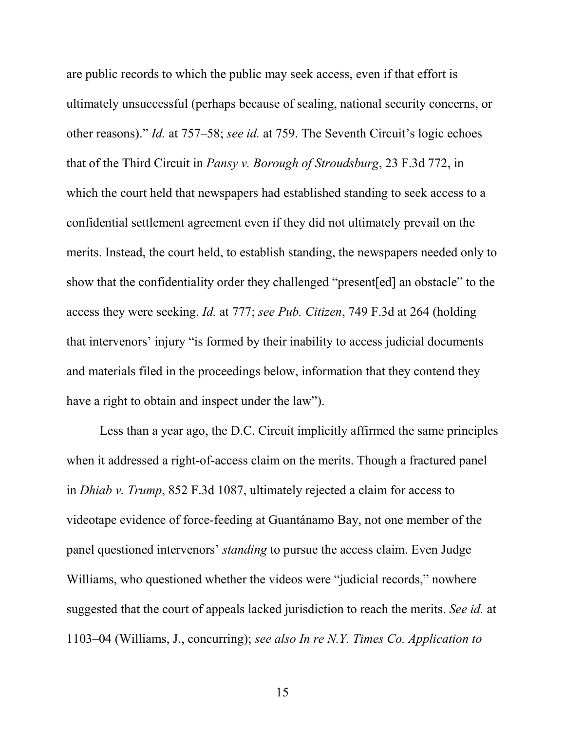are public records to which the public may seek access, even if that effort is ultimately unsuccessful (perhaps because of sealing, national security concerns, or other reasons)." *Id.* at 757–58; *see id.* at 759. The Seventh Circuit's logic echoes that of the Third Circuit in *Pansy v. Borough of Stroudsburg*, 23 F.3d 772, in which the court held that newspapers had established standing to seek access to a confidential settlement agreement even if they did not ultimately prevail on the merits. Instead, the court held, to establish standing, the newspapers needed only to show that the confidentiality order they challenged "present[ed] an obstacle" to the access they were seeking. *Id.* at 777; *see Pub. Citizen*, 749 F.3d at 264 (holding that intervenors' injury "is formed by their inability to access judicial documents and materials filed in the proceedings below, information that they contend they have a right to obtain and inspect under the law".

<span id="page-23-0"></span>Less than a year ago, the D.C. Circuit implicitly affirmed the same principles when it addressed a right-of-access claim on the merits. Though a fractured panel in *Dhiab v. Trump*, 852 F.3d 1087, ultimately rejected a claim for access to videotape evidence of force-feeding at Guantánamo Bay, not one member of the panel questioned intervenors' *standing* to pursue the access claim. Even Judge Williams, who questioned whether the videos were "judicial records," nowhere suggested that the court of appeals lacked jurisdiction to reach the merits. *See id.* at 1103–04 (Williams, J., concurring); *see also In re N.Y. Times Co. Application to*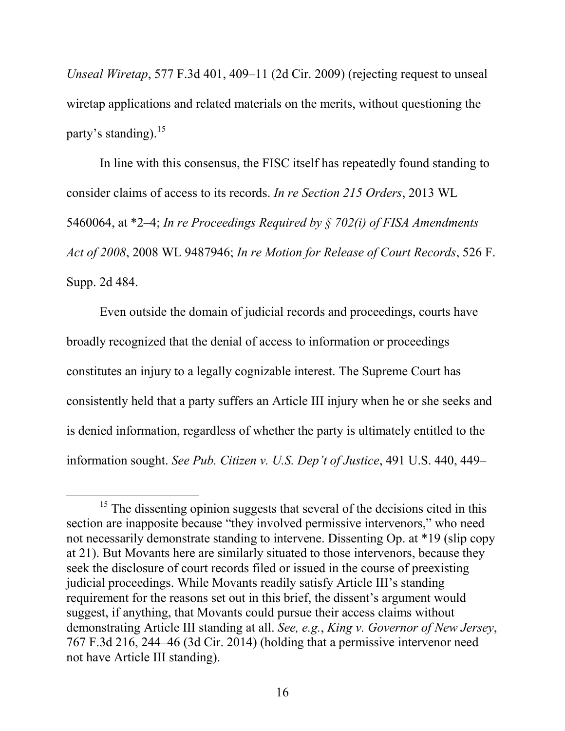*Unseal Wiretap*, 577 F.3d 401, 409–11 (2d Cir. 2009) (rejecting request to unseal wiretap applications and related materials on the merits, without questioning the party's standing).<sup>[15](#page-24-0)</sup>

In line with this consensus, the FISC itself has repeatedly found standing to consider claims of access to its records. *In re Section 215 Orders*, 2013 WL 5460064, at \*2–4; *In re Proceedings Required by § 702(i) of FISA Amendments Act of 2008*, 2008 WL 9487946; *In re Motion for Release of Court Records*, 526 F. Supp. 2d 484.

Even outside the domain of judicial records and proceedings, courts have broadly recognized that the denial of access to information or proceedings constitutes an injury to a legally cognizable interest. The Supreme Court has consistently held that a party suffers an Article III injury when he or she seeks and is denied information, regardless of whether the party is ultimately entitled to the information sought. *See Pub. Citizen v. U.S. Dep't of Justice*, 491 U.S. 440, 449–

 $\overline{a}$ 

<span id="page-24-0"></span><sup>&</sup>lt;sup>15</sup> The dissenting opinion suggests that several of the decisions cited in this section are inapposite because "they involved permissive intervenors," who need not necessarily demonstrate standing to intervene. Dissenting Op. at \*19 (slip copy at 21). But Movants here are similarly situated to those intervenors, because they seek the disclosure of court records filed or issued in the course of preexisting judicial proceedings. While Movants readily satisfy Article III's standing requirement for the reasons set out in this brief, the dissent's argument would suggest, if anything, that Movants could pursue their access claims without demonstrating Article III standing at all. *See, e.g.*, *King v. Governor of New Jersey*, 767 F.3d 216, 244–46 (3d Cir. 2014) (holding that a permissive intervenor need not have Article III standing).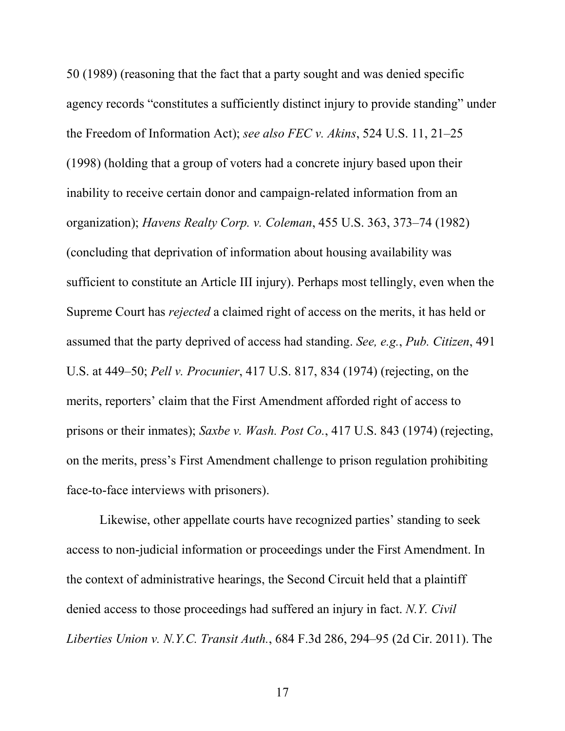50 (1989) (reasoning that the fact that a party sought and was denied specific agency records "constitutes a sufficiently distinct injury to provide standing" under the Freedom of Information Act); *see also FEC v. Akins*, 524 U.S. 11, 21–25 (1998) (holding that a group of voters had a concrete injury based upon their inability to receive certain donor and campaign-related information from an organization); *Havens Realty Corp. v. Coleman*, 455 U.S. 363, 373–74 (1982) (concluding that deprivation of information about housing availability was sufficient to constitute an Article III injury). Perhaps most tellingly, even when the Supreme Court has *rejected* a claimed right of access on the merits, it has held or assumed that the party deprived of access had standing. *See, e.g.*, *Pub. Citizen*, 491 U.S. at 449–50; *Pell v. Procunier*, 417 U.S. 817, 834 (1974) (rejecting, on the merits, reporters' claim that the First Amendment afforded right of access to prisons or their inmates); *Saxbe v. Wash. Post Co.*, 417 U.S. 843 (1974) (rejecting, on the merits, press's First Amendment challenge to prison regulation prohibiting face-to-face interviews with prisoners).

Likewise, other appellate courts have recognized parties' standing to seek access to non-judicial information or proceedings under the First Amendment. In the context of administrative hearings, the Second Circuit held that a plaintiff denied access to those proceedings had suffered an injury in fact. *N.Y. Civil Liberties Union v. N.Y.C. Transit Auth.*, 684 F.3d 286, 294–95 (2d Cir. 2011). The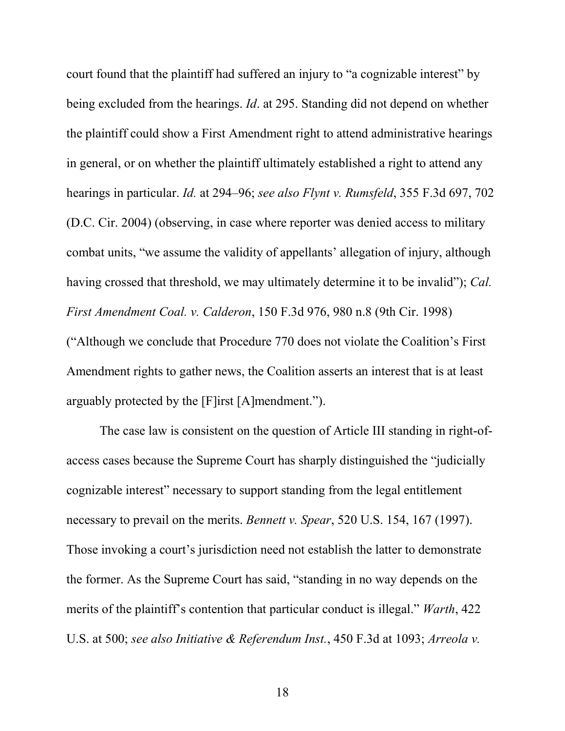court found that the plaintiff had suffered an injury to "a cognizable interest" by being excluded from the hearings. *Id*. at 295. Standing did not depend on whether the plaintiff could show a First Amendment right to attend administrative hearings in general, or on whether the plaintiff ultimately established a right to attend any hearings in particular. *Id.* at 294–96; *see also Flynt v. Rumsfeld*, 355 F.3d 697, 702 (D.C. Cir. 2004) (observing, in case where reporter was denied access to military combat units, "we assume the validity of appellants' allegation of injury, although having crossed that threshold, we may ultimately determine it to be invalid"); *Cal. First Amendment Coal. v. Calderon*, 150 F.3d 976, 980 n.8 (9th Cir. 1998) ("Although we conclude that Procedure 770 does not violate the Coalition's First Amendment rights to gather news, the Coalition asserts an interest that is at least arguably protected by the [F]irst [A]mendment.").

The case law is consistent on the question of Article III standing in right-ofaccess cases because the Supreme Court has sharply distinguished the "judicially cognizable interest" necessary to support standing from the legal entitlement necessary to prevail on the merits. *Bennett v. Spear*, 520 U.S. 154, 167 (1997). Those invoking a court's jurisdiction need not establish the latter to demonstrate the former. As the Supreme Court has said, "standing in no way depends on the merits of the plaintiff's contention that particular conduct is illegal." *Warth*, 422 U.S. at 500; *see also Initiative & Referendum Inst.*, 450 F.3d at 1093; *Arreola v.*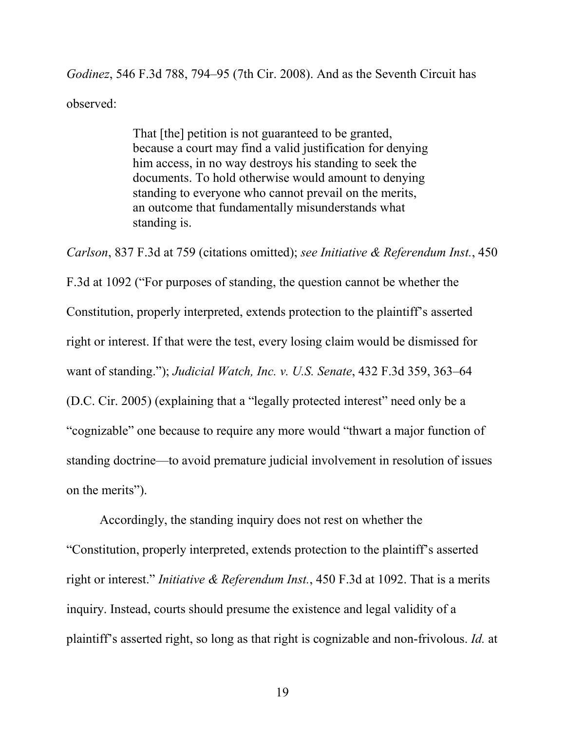*Godinez*, 546 F.3d 788, 794–95 (7th Cir. 2008). And as the Seventh Circuit has observed:

> That [the] petition is not guaranteed to be granted, because a court may find a valid justification for denying him access, in no way destroys his standing to seek the documents. To hold otherwise would amount to denying standing to everyone who cannot prevail on the merits, an outcome that fundamentally misunderstands what standing is.

*Carlson*, 837 F.3d at 759 (citations omitted); *see Initiative & Referendum Inst.*, 450 F.3d at 1092 ("For purposes of standing, the question cannot be whether the Constitution, properly interpreted, extends protection to the plaintiff's asserted right or interest. If that were the test, every losing claim would be dismissed for want of standing."); *Judicial Watch, Inc. v. U.S. Senate*, 432 F.3d 359, 363–64 (D.C. Cir. 2005) (explaining that a "legally protected interest" need only be a "cognizable" one because to require any more would "thwart a major function of standing doctrine—to avoid premature judicial involvement in resolution of issues on the merits").

Accordingly, the standing inquiry does not rest on whether the "Constitution, properly interpreted, extends protection to the plaintiff's asserted right or interest." *Initiative & Referendum Inst.*, 450 F.3d at 1092. That is a merits inquiry. Instead, courts should presume the existence and legal validity of a plaintiff's asserted right, so long as that right is cognizable and non-frivolous. *Id.* at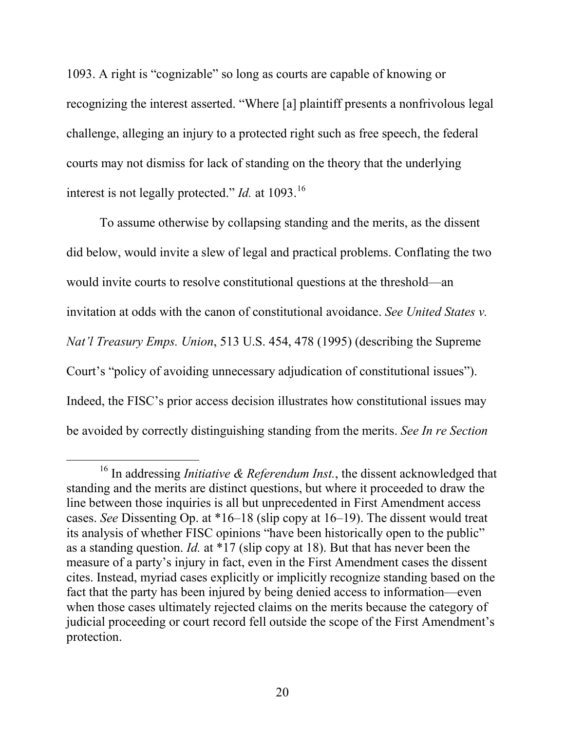1093. A right is "cognizable" so long as courts are capable of knowing or recognizing the interest asserted. "Where [a] plaintiff presents a nonfrivolous legal challenge, alleging an injury to a protected right such as free speech, the federal courts may not dismiss for lack of standing on the theory that the underlying interest is not legally protected." *Id.* at 1093.<sup>[16](#page-28-0)</sup>

To assume otherwise by collapsing standing and the merits, as the dissent did below, would invite a slew of legal and practical problems. Conflating the two would invite courts to resolve constitutional questions at the threshold—an invitation at odds with the canon of constitutional avoidance. *See United States v. Nat'l Treasury Emps. Union*, 513 U.S. 454, 478 (1995) (describing the Supreme Court's "policy of avoiding unnecessary adjudication of constitutional issues"). Indeed, the FISC's prior access decision illustrates how constitutional issues may be avoided by correctly distinguishing standing from the merits. *See In re Section* 

 $\overline{a}$ 

<span id="page-28-0"></span><sup>&</sup>lt;sup>16</sup> In addressing *Initiative & Referendum Inst.*, the dissent acknowledged that standing and the merits are distinct questions, but where it proceeded to draw the line between those inquiries is all but unprecedented in First Amendment access cases. *See* Dissenting Op. at \*16–18 (slip copy at 16–19). The dissent would treat its analysis of whether FISC opinions "have been historically open to the public" as a standing question. *Id.* at \*17 (slip copy at 18). But that has never been the measure of a party's injury in fact, even in the First Amendment cases the dissent cites. Instead, myriad cases explicitly or implicitly recognize standing based on the fact that the party has been injured by being denied access to information—even when those cases ultimately rejected claims on the merits because the category of judicial proceeding or court record fell outside the scope of the First Amendment's protection.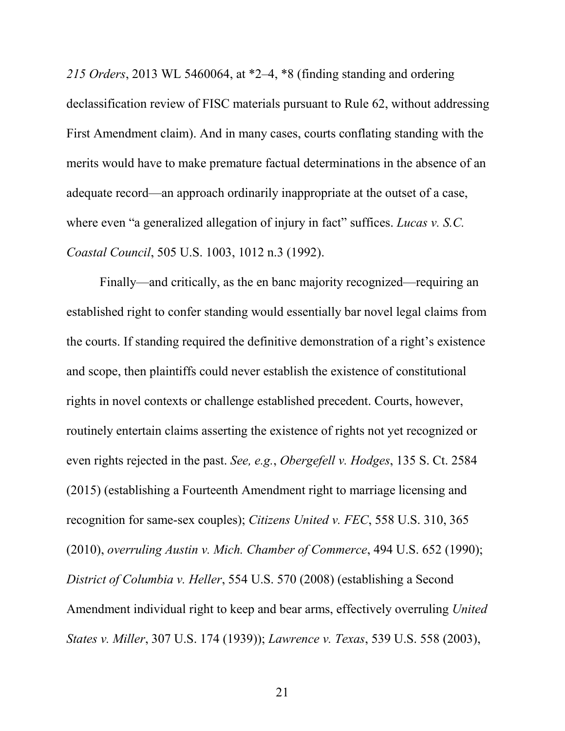*215 Orders*, 2013 WL 5460064, at \*2–4, \*8 (finding standing and ordering declassification review of FISC materials pursuant to Rule 62, without addressing First Amendment claim). And in many cases, courts conflating standing with the merits would have to make premature factual determinations in the absence of an adequate record—an approach ordinarily inappropriate at the outset of a case, where even "a generalized allegation of injury in fact" suffices. *Lucas v. S.C. Coastal Council*, 505 U.S. 1003, 1012 n.3 (1992).

Finally—and critically, as the en banc majority recognized—requiring an established right to confer standing would essentially bar novel legal claims from the courts. If standing required the definitive demonstration of a right's existence and scope, then plaintiffs could never establish the existence of constitutional rights in novel contexts or challenge established precedent. Courts, however, routinely entertain claims asserting the existence of rights not yet recognized or even rights rejected in the past. *See, e.g.*, *Obergefell v. Hodges*, 135 S. Ct. 2584 (2015) (establishing a Fourteenth Amendment right to marriage licensing and recognition for same-sex couples); *Citizens United v. FEC*, 558 U.S. 310, 365 (2010), *overruling Austin v. Mich. Chamber of Commerce*, 494 U.S. 652 (1990); *District of Columbia v. Heller*, 554 U.S. 570 (2008) (establishing a Second Amendment individual right to keep and bear arms, effectively overruling *United States v. Miller*, 307 U.S. 174 (1939)); *Lawrence v. Texas*, 539 U.S. 558 (2003),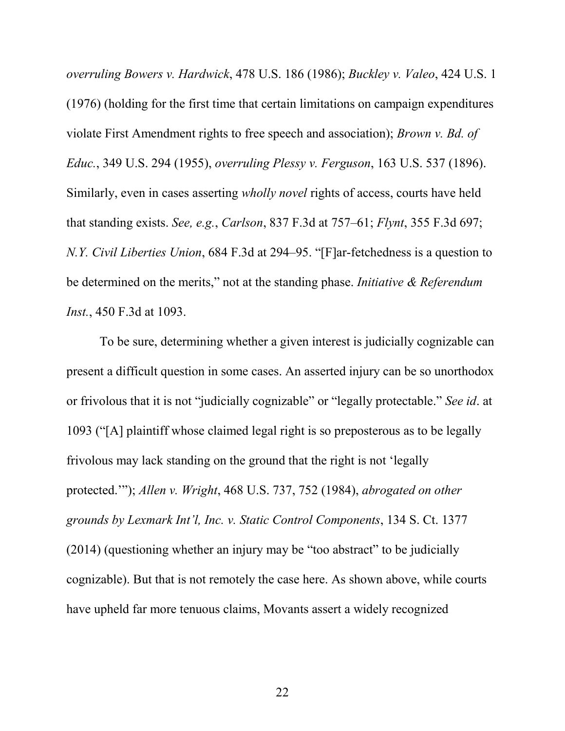*overruling Bowers v. Hardwick*, 478 U.S. 186 (1986); *Buckley v. Valeo*, 424 U.S. 1 (1976) (holding for the first time that certain limitations on campaign expenditures violate First Amendment rights to free speech and association); *Brown v. Bd. of Educ.*, 349 U.S. 294 (1955), *overruling Plessy v. Ferguson*, 163 U.S. 537 (1896). Similarly, even in cases asserting *wholly novel* rights of access, courts have held that standing exists. *See, e.g.*, *Carlson*, 837 F.3d at 757–61; *Flynt*, 355 F.3d 697; *N.Y. Civil Liberties Union*, 684 F.3d at 294–95. "[F]ar-fetchedness is a question to be determined on the merits," not at the standing phase. *Initiative & Referendum Inst.*, 450 F.3d at 1093.

To be sure, determining whether a given interest is judicially cognizable can present a difficult question in some cases. An asserted injury can be so unorthodox or frivolous that it is not "judicially cognizable" or "legally protectable." *See id*. at 1093 ("[A] plaintiff whose claimed legal right is so preposterous as to be legally frivolous may lack standing on the ground that the right is not 'legally protected.'"); *Allen v. Wright*, 468 U.S. 737, 752 (1984), *abrogated on other grounds by Lexmark Int'l, Inc. v. Static Control Components*, 134 S. Ct. 1377 (2014) (questioning whether an injury may be "too abstract" to be judicially cognizable). But that is not remotely the case here. As shown above, while courts have upheld far more tenuous claims, Movants assert a widely recognized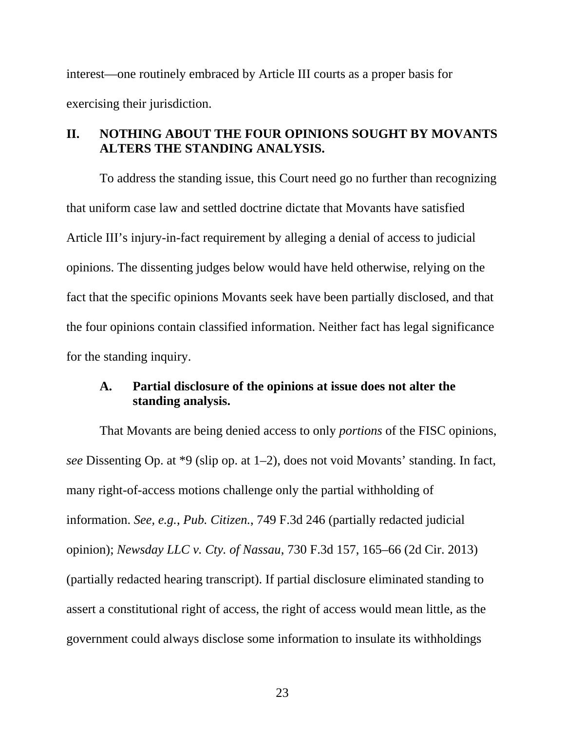interest—one routinely embraced by Article III courts as a proper basis for exercising their jurisdiction.

# **II. NOTHING ABOUT THE FOUR OPINIONS SOUGHT BY MOVANTS ALTERS THE STANDING ANALYSIS.**

To address the standing issue, this Court need go no further than recognizing that uniform case law and settled doctrine dictate that Movants have satisfied Article III's injury-in-fact requirement by alleging a denial of access to judicial opinions. The dissenting judges below would have held otherwise, relying on the fact that the specific opinions Movants seek have been partially disclosed, and that the four opinions contain classified information. Neither fact has legal significance for the standing inquiry.

## **A. Partial disclosure of the opinions at issue does not alter the standing analysis.**

That Movants are being denied access to only *portions* of the FISC opinions, *see* Dissenting Op. at \*9 (slip op. at 1–2), does not void Movants' standing. In fact, many right-of-access motions challenge only the partial withholding of information. *See, e.g.*, *Pub. Citizen.*, 749 F.3d 246 (partially redacted judicial opinion); *Newsday LLC v. Cty. of Nassau*, 730 F.3d 157, 165–66 (2d Cir. 2013) (partially redacted hearing transcript). If partial disclosure eliminated standing to assert a constitutional right of access, the right of access would mean little, as the government could always disclose some information to insulate its withholdings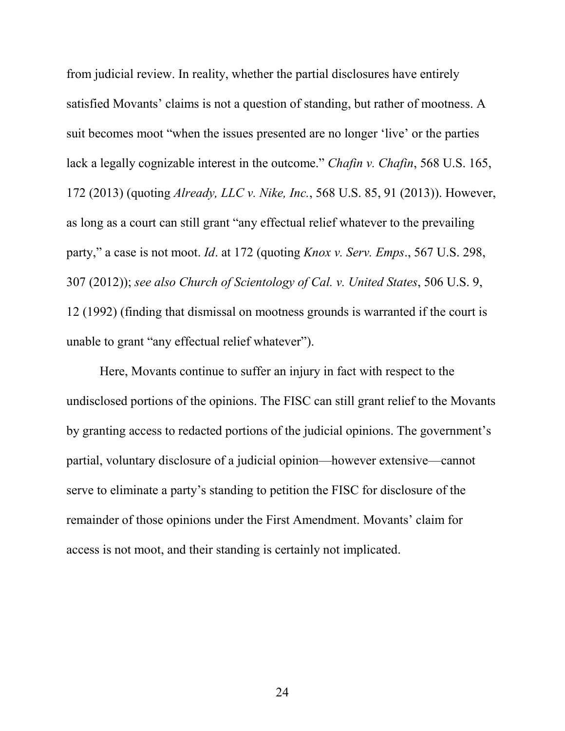from judicial review. In reality, whether the partial disclosures have entirely satisfied Movants' claims is not a question of standing, but rather of mootness. A suit becomes moot "when the issues presented are no longer 'live' or the parties lack a legally cognizable interest in the outcome." *Chafin v. Chafin*, 568 U.S. 165, 172 (2013) (quoting *Already, LLC v. Nike, Inc.*, 568 U.S. 85, 91 (2013)). However, as long as a court can still grant "any effectual relief whatever to the prevailing party," a case is not moot. *Id*. at 172 (quoting *Knox v. Serv. Emps*., 567 U.S. 298, 307 (2012)); *see also Church of Scientology of Cal. v. United States*, 506 U.S. 9, 12 (1992) (finding that dismissal on mootness grounds is warranted if the court is unable to grant "any effectual relief whatever").

Here, Movants continue to suffer an injury in fact with respect to the undisclosed portions of the opinions. The FISC can still grant relief to the Movants by granting access to redacted portions of the judicial opinions. The government's partial, voluntary disclosure of a judicial opinion—however extensive—cannot serve to eliminate a party's standing to petition the FISC for disclosure of the remainder of those opinions under the First Amendment. Movants' claim for access is not moot, and their standing is certainly not implicated.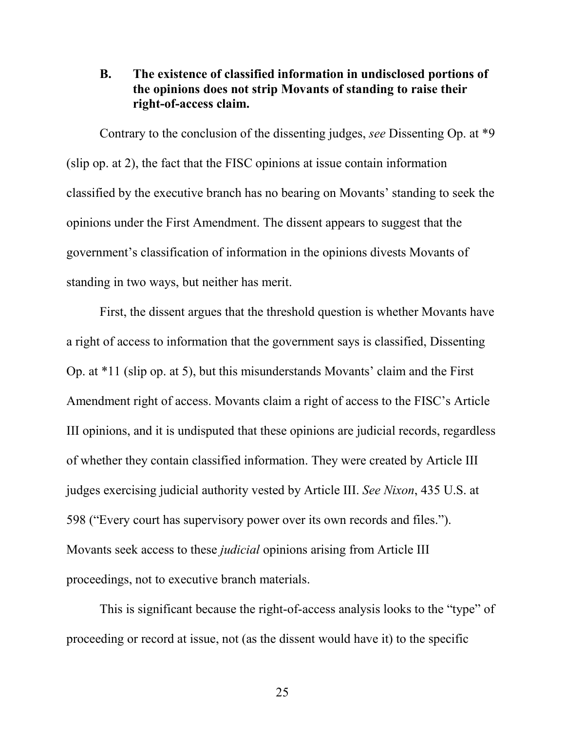## **B. The existence of classified information in undisclosed portions of the opinions does not strip Movants of standing to raise their right-of-access claim.**

Contrary to the conclusion of the dissenting judges, *see* Dissenting Op. at \*9 (slip op. at 2), the fact that the FISC opinions at issue contain information classified by the executive branch has no bearing on Movants' standing to seek the opinions under the First Amendment. The dissent appears to suggest that the government's classification of information in the opinions divests Movants of standing in two ways, but neither has merit.

First, the dissent argues that the threshold question is whether Movants have a right of access to information that the government says is classified, Dissenting Op. at \*11 (slip op. at 5), but this misunderstands Movants' claim and the First Amendment right of access. Movants claim a right of access to the FISC's Article III opinions, and it is undisputed that these opinions are judicial records, regardless of whether they contain classified information. They were created by Article III judges exercising judicial authority vested by Article III. *See Nixon*, 435 U.S. at 598 ("Every court has supervisory power over its own records and files."). Movants seek access to these *judicial* opinions arising from Article III proceedings, not to executive branch materials.

This is significant because the right-of-access analysis looks to the "type" of proceeding or record at issue, not (as the dissent would have it) to the specific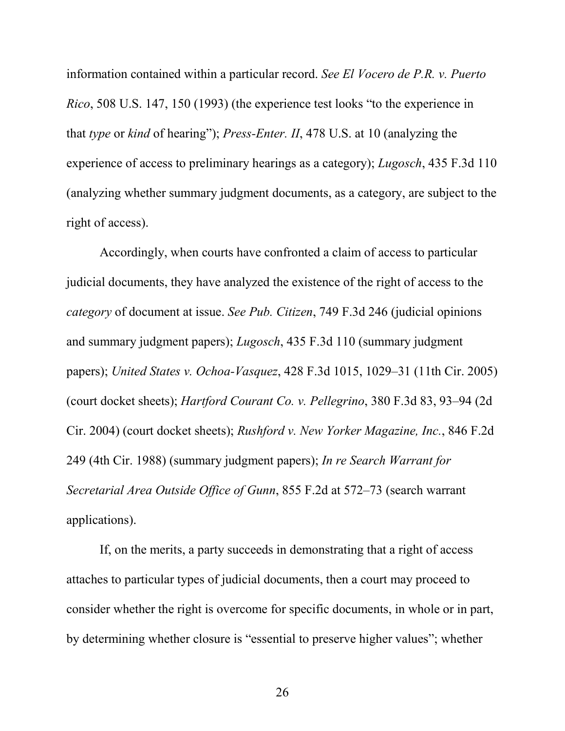information contained within a particular record. *See El Vocero de P.R. v. Puerto Rico*, 508 U.S. 147, 150 (1993) (the experience test looks "to the experience in that *type* or *kind* of hearing"); *Press-Enter. II*, 478 U.S. at 10 (analyzing the experience of access to preliminary hearings as a category); *Lugosch*, 435 F.3d 110 (analyzing whether summary judgment documents, as a category, are subject to the right of access).

Accordingly, when courts have confronted a claim of access to particular judicial documents, they have analyzed the existence of the right of access to the *category* of document at issue. *See Pub. Citizen*, 749 F.3d 246 (judicial opinions and summary judgment papers); *Lugosch*, 435 F.3d 110 (summary judgment papers); *United States v. Ochoa-Vasquez*, 428 F.3d 1015, 1029–31 (11th Cir. 2005) (court docket sheets); *Hartford Courant Co. v. Pellegrino*, 380 F.3d 83, 93–94 (2d Cir. 2004) (court docket sheets); *Rushford v. New Yorker Magazine, Inc.*, 846 F.2d 249 (4th Cir. 1988) (summary judgment papers); *In re Search Warrant for Secretarial Area Outside Office of Gunn*, 855 F.2d at 572–73 (search warrant applications).

If, on the merits, a party succeeds in demonstrating that a right of access attaches to particular types of judicial documents, then a court may proceed to consider whether the right is overcome for specific documents, in whole or in part, by determining whether closure is "essential to preserve higher values"; whether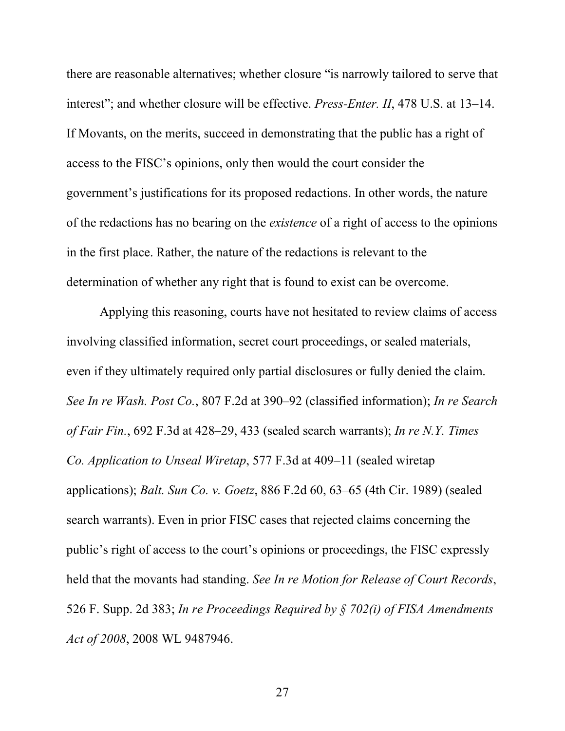there are reasonable alternatives; whether closure "is narrowly tailored to serve that interest"; and whether closure will be effective. *Press-Enter. II*, 478 U.S. at 13–14. If Movants, on the merits, succeed in demonstrating that the public has a right of access to the FISC's opinions, only then would the court consider the government's justifications for its proposed redactions. In other words, the nature of the redactions has no bearing on the *existence* of a right of access to the opinions in the first place. Rather, the nature of the redactions is relevant to the determination of whether any right that is found to exist can be overcome.

Applying this reasoning, courts have not hesitated to review claims of access involving classified information, secret court proceedings, or sealed materials, even if they ultimately required only partial disclosures or fully denied the claim. *See In re Wash. Post Co.*, 807 F.2d at 390–92 (classified information); *In re Search of Fair Fin.*, 692 F.3d at 428–29, 433 (sealed search warrants); *In re N.Y. Times Co. Application to Unseal Wiretap*, 577 F.3d at 409–11 (sealed wiretap applications); *Balt. Sun Co. v. Goetz*, 886 F.2d 60, 63–65 (4th Cir. 1989) (sealed search warrants). Even in prior FISC cases that rejected claims concerning the public's right of access to the court's opinions or proceedings, the FISC expressly held that the movants had standing. *See In re Motion for Release of Court Records*, 526 F. Supp. 2d 383; *In re Proceedings Required by § 702(i) of FISA Amendments Act of 2008*, 2008 WL 9487946.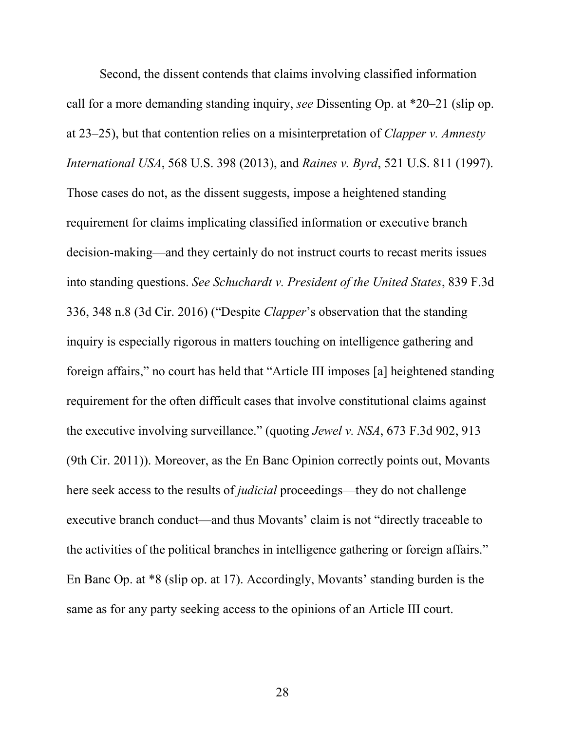Second, the dissent contends that claims involving classified information call for a more demanding standing inquiry, *see* Dissenting Op. at \*20–21 (slip op. at 23–25), but that contention relies on a misinterpretation of *Clapper v. Amnesty International USA*, 568 U.S. 398 (2013), and *Raines v. Byrd*, 521 U.S. 811 (1997). Those cases do not, as the dissent suggests, impose a heightened standing requirement for claims implicating classified information or executive branch decision-making—and they certainly do not instruct courts to recast merits issues into standing questions. *See Schuchardt v. President of the United States*, 839 F.3d 336, 348 n.8 (3d Cir. 2016) ("Despite *Clapper*'s observation that the standing inquiry is especially rigorous in matters touching on intelligence gathering and foreign affairs," no court has held that "Article III imposes [a] heightened standing requirement for the often difficult cases that involve constitutional claims against the executive involving surveillance." (quoting *Jewel v. NSA*, 673 F.3d 902, 913 (9th Cir. 2011)). Moreover, as the En Banc Opinion correctly points out, Movants here seek access to the results of *judicial* proceedings—they do not challenge executive branch conduct—and thus Movants' claim is not "directly traceable to the activities of the political branches in intelligence gathering or foreign affairs." En Banc Op. at \*8 (slip op. at 17). Accordingly, Movants' standing burden is the same as for any party seeking access to the opinions of an Article III court.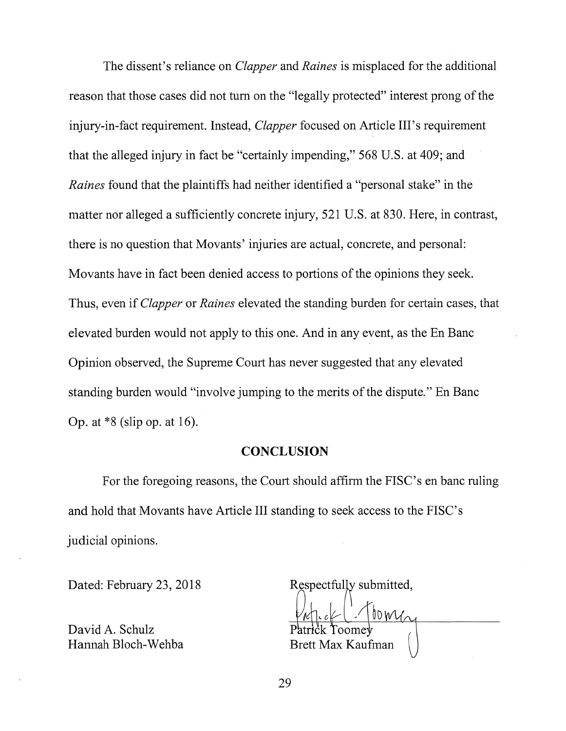The dissent's reliance on *Clapper* and *Raines* is misplaced for the additional reason that those cases did not tum on the "legally protected" interest prong of the injury-in-fact requirement. Instead, *Clapper* focused on Article III's requirement that the alleged injury in fact be "certainly impending," 568 U.S. at 409; and *Raines* found that the plaintiffs had neither identified a "personal stake" in the matter nor alleged a sufficiently concrete injury, 521 U.S. at 830. Here, in contrast, there is no question that Movants' injuries are actual, concrete, and personal: Movants have in fact been denied access to portions of the opinions they seek. Thus, even if *Clapper* or *Raines* elevated the standing burden for certain cases, that elevated burden would not apply to this one. And in any event, as the En Bane Opinion observed, the Supreme Court has never suggested that any elevated standing burden would "involve jumping to the merits of the dispute." En Bane Op. at \*8 (slip op. at 16).

#### **CONCLUSION**

For the foregoing reasons, the Court should affirm the FISC's en bane ruling and hold that Movants have Article III standing to seek access to the FISC's judicial opinions.

Dated: February 23, 2018

David A. Schulz Hannah Bloch-Wehba

Respectfully submitted,

 $b_0 w_0$ Toome√ Brett Max Kaufman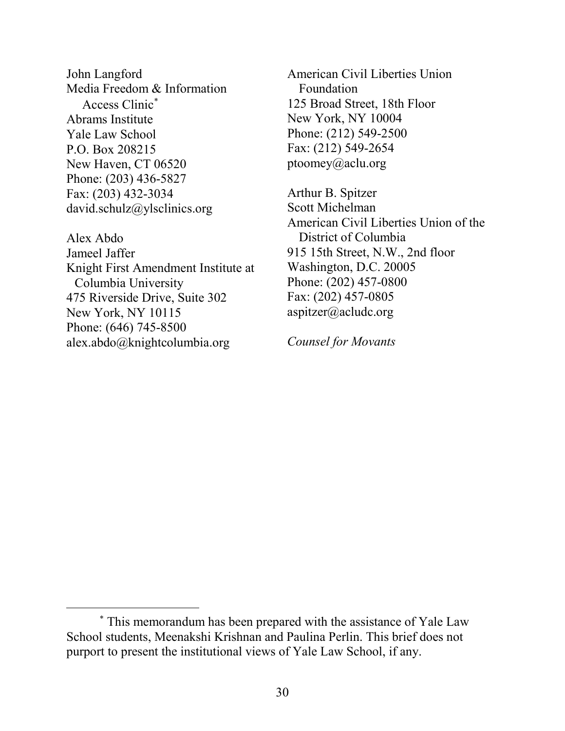John Langford Media Freedom & Information Access Clinic[∗](#page-38-0) Abrams Institute Yale Law School P.O. Box 208215 New Haven, CT 06520 Phone: (203) 436-5827 Fax: (203) 432-3034 david.schulz@ylsclinics.org

Alex Abdo Jameel Jaffer Knight First Amendment Institute at Columbia University 475 Riverside Drive, Suite 302 New York, NY 10115 Phone: (646) 745-8500 alex.abdo@knightcolumbia.org

 $\overline{a}$ 

American Civil Liberties Union Foundation 125 Broad Street, 18th Floor New York, NY 10004 Phone: (212) 549-2500 Fax: (212) 549-2654 ptoomey@aclu.org

Arthur B. Spitzer Scott Michelman American Civil Liberties Union of the District of Columbia 915 15th Street, N.W., 2nd floor Washington, D.C. 20005 Phone: (202) 457-0800 Fax: (202) 457-0805 aspitzer@acludc.org

*Counsel for Movants*

<span id="page-38-0"></span><sup>∗</sup> This memorandum has been prepared with the assistance of Yale Law School students, Meenakshi Krishnan and Paulina Perlin. This brief does not purport to present the institutional views of Yale Law School, if any.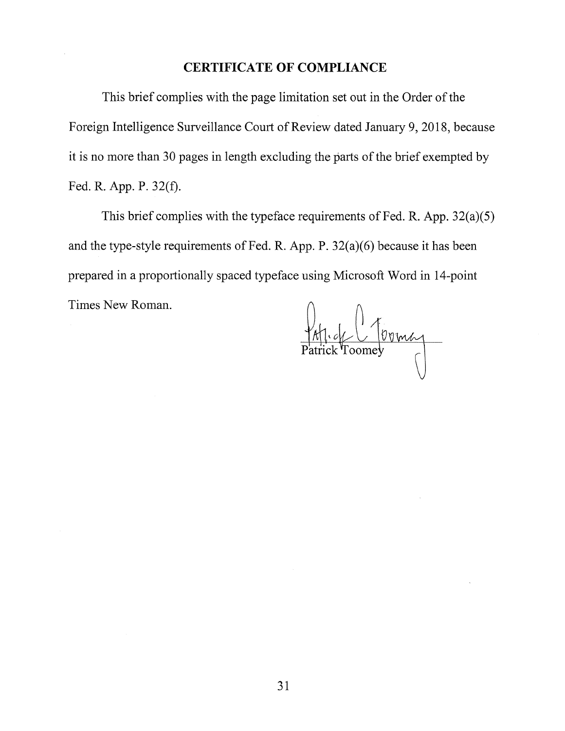### **CERTIFICATE OF COMPLIANCE**

This brief complies with the page limitation set out in the Order of the Foreign Intelligence Surveillance Court of Review dated January 9, 2018, because it is no more than 30 pages in length excluding the parts of the brief exempted by Fed. R. App. P. 32(f).

This brief complies with the typeface requirements of Fed. R. App. 32(a)(5) and the type-style requirements of Fed. R. App. P. 32(a)(6) because it has been prepared in a proportionally spaced typeface using Microsoft Word in 14-point Times New Roman.

Affick Toomer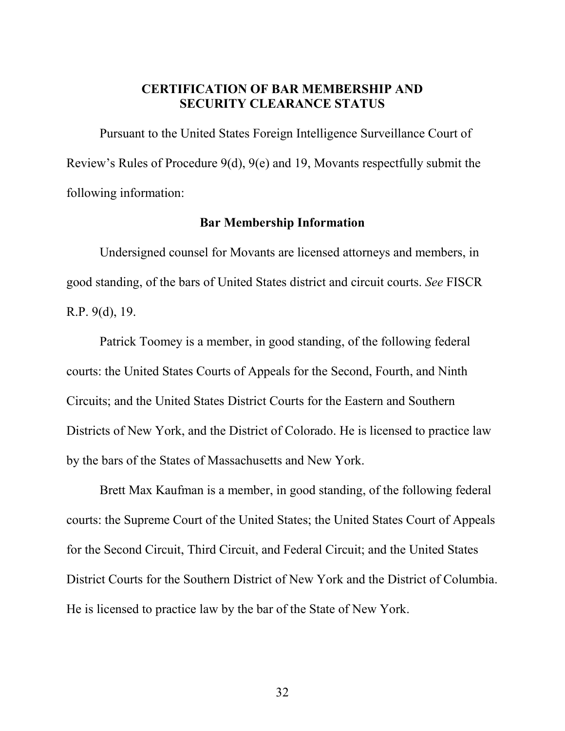## **CERTIFICATION OF BAR MEMBERSHIP AND SECURITY CLEARANCE STATUS**

Pursuant to the United States Foreign Intelligence Surveillance Court of Review's Rules of Procedure 9(d), 9(e) and 19, Movants respectfully submit the following information:

### **Bar Membership Information**

Undersigned counsel for Movants are licensed attorneys and members, in good standing, of the bars of United States district and circuit courts. *See* FISCR R.P. 9(d), 19.

Patrick Toomey is a member, in good standing, of the following federal courts: the United States Courts of Appeals for the Second, Fourth, and Ninth Circuits; and the United States District Courts for the Eastern and Southern Districts of New York, and the District of Colorado. He is licensed to practice law by the bars of the States of Massachusetts and New York.

Brett Max Kaufman is a member, in good standing, of the following federal courts: the Supreme Court of the United States; the United States Court of Appeals for the Second Circuit, Third Circuit, and Federal Circuit; and the United States District Courts for the Southern District of New York and the District of Columbia. He is licensed to practice law by the bar of the State of New York.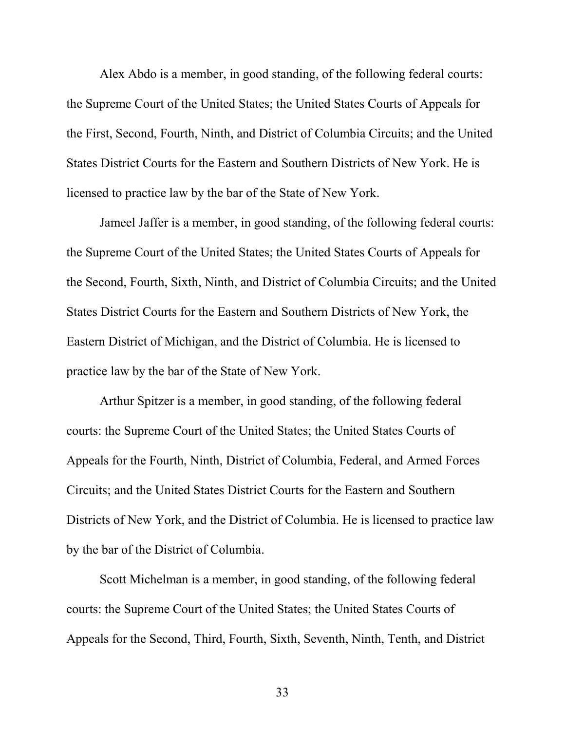Alex Abdo is a member, in good standing, of the following federal courts: the Supreme Court of the United States; the United States Courts of Appeals for the First, Second, Fourth, Ninth, and District of Columbia Circuits; and the United States District Courts for the Eastern and Southern Districts of New York. He is licensed to practice law by the bar of the State of New York.

Jameel Jaffer is a member, in good standing, of the following federal courts: the Supreme Court of the United States; the United States Courts of Appeals for the Second, Fourth, Sixth, Ninth, and District of Columbia Circuits; and the United States District Courts for the Eastern and Southern Districts of New York, the Eastern District of Michigan, and the District of Columbia. He is licensed to practice law by the bar of the State of New York.

Arthur Spitzer is a member, in good standing, of the following federal courts: the Supreme Court of the United States; the United States Courts of Appeals for the Fourth, Ninth, District of Columbia, Federal, and Armed Forces Circuits; and the United States District Courts for the Eastern and Southern Districts of New York, and the District of Columbia. He is licensed to practice law by the bar of the District of Columbia.

Scott Michelman is a member, in good standing, of the following federal courts: the Supreme Court of the United States; the United States Courts of Appeals for the Second, Third, Fourth, Sixth, Seventh, Ninth, Tenth, and District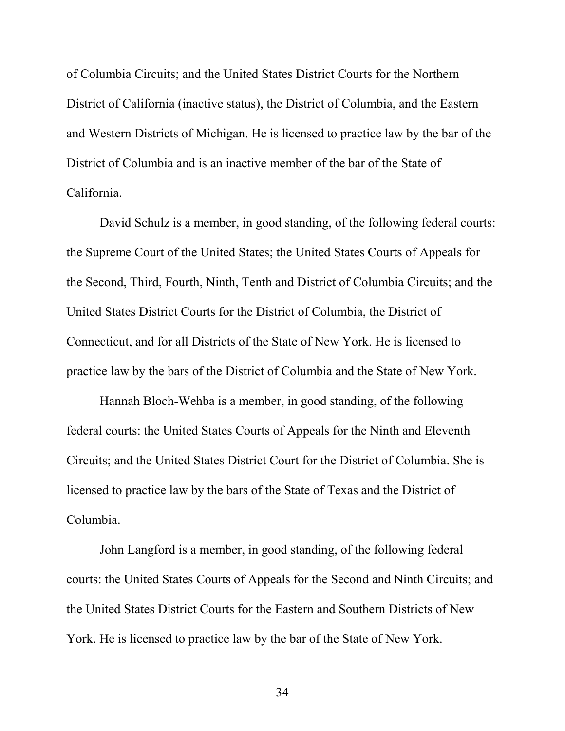of Columbia Circuits; and the United States District Courts for the Northern District of California (inactive status), the District of Columbia, and the Eastern and Western Districts of Michigan. He is licensed to practice law by the bar of the District of Columbia and is an inactive member of the bar of the State of California.

David Schulz is a member, in good standing, of the following federal courts: the Supreme Court of the United States; the United States Courts of Appeals for the Second, Third, Fourth, Ninth, Tenth and District of Columbia Circuits; and the United States District Courts for the District of Columbia, the District of Connecticut, and for all Districts of the State of New York. He is licensed to practice law by the bars of the District of Columbia and the State of New York.

Hannah Bloch-Wehba is a member, in good standing, of the following federal courts: the United States Courts of Appeals for the Ninth and Eleventh Circuits; and the United States District Court for the District of Columbia. She is licensed to practice law by the bars of the State of Texas and the District of Columbia.

John Langford is a member, in good standing, of the following federal courts: the United States Courts of Appeals for the Second and Ninth Circuits; and the United States District Courts for the Eastern and Southern Districts of New York. He is licensed to practice law by the bar of the State of New York.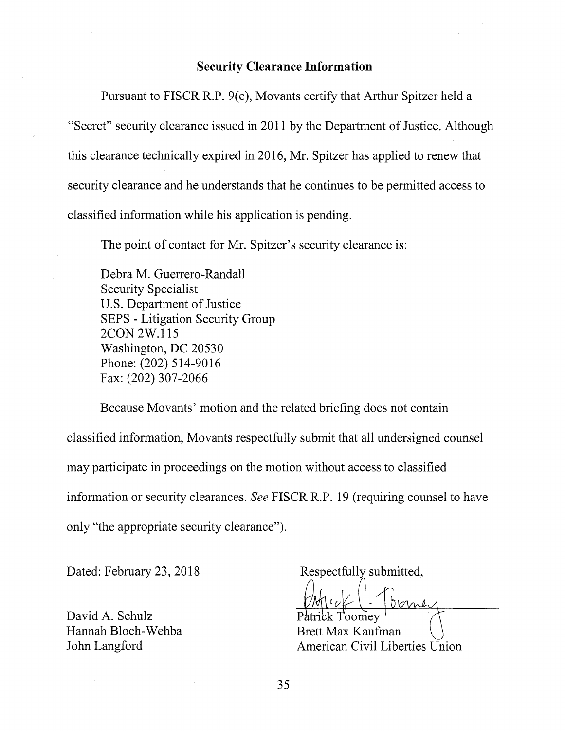### **Security Clearance Information**

Pursuant to FISCR R.P. 9(e), Movants certify that Arthur Spitzer held a

"Secret" security clearance issued in 2011 by the Department of Justice. Although this clearance technically expired in 2016, Mr. Spitzer has applied to renew that security clearance and he understands that he continues to be permitted access to classified information while his application is pending.

The point of contact for Mr. Spitzer's security clearance is:

Debra M. Guerrero-Randall Security Specialist U.S. Department of Justice SEPS - Litigation Security Group 2CON2W.115 Washington, DC 20530 Phone: (202) 514-9016 Fax: (202) 307-2066

Because Movants' motion and the related briefing does not contain classified information, Movants respectfully submit that all undersigned counsel may participate in proceedings on the motion without access to classified information or security clearances. *See* FISCR R.P. 19 (requiring counsel to have only "the appropriate security clearance").

Dated: February 23, 2018

David A. Schulz Hannah Bloch-Wehba John Langford

Respectfully submitted,

oome

Brett Max Kaufman American Civil Liberties Union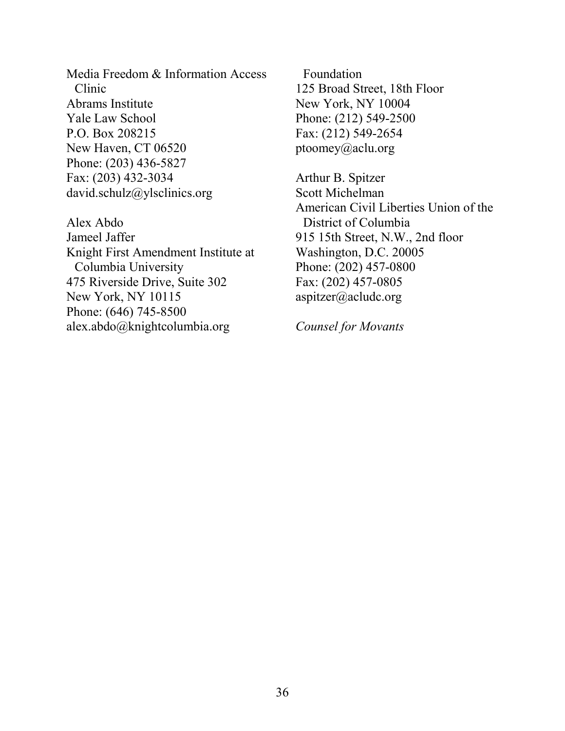Media Freedom & Information Access Clinic Abrams Institute Yale Law School P.O. Box 208215 New Haven, CT 06520 Phone: (203) 436-5827 Fax: (203) 432-3034 david.schulz@ylsclinics.org

Alex Abdo Jameel Jaffer Knight First Amendment Institute at Columbia University 475 Riverside Drive, Suite 302 New York, NY 10115 Phone: (646) 745-8500 alex.abdo@knightcolumbia.org

Foundation 125 Broad Street, 18th Floor New York, NY 10004 Phone: (212) 549-2500 Fax: (212) 549-2654 ptoomey@aclu.org

Arthur B. Spitzer Scott Michelman American Civil Liberties Union of the District of Columbia 915 15th Street, N.W., 2nd floor Washington, D.C. 20005 Phone: (202) 457-0800 Fax: (202) 457-0805 aspitzer@acludc.org

*Counsel for Movants*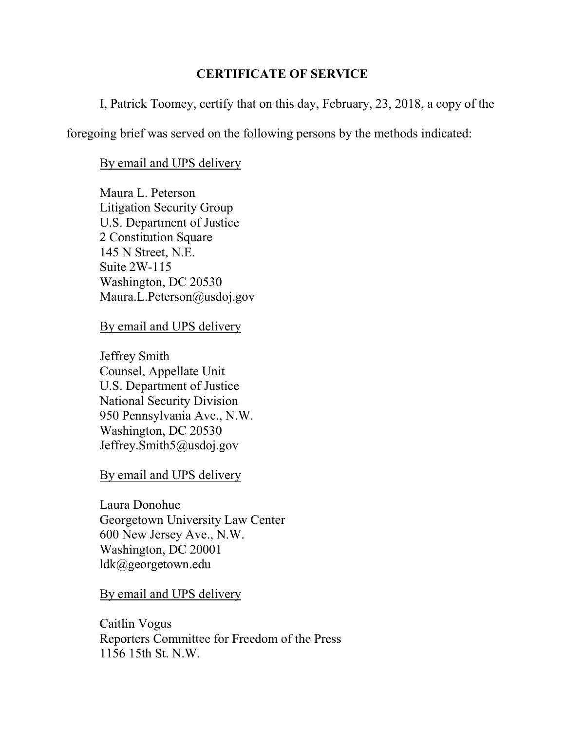## **CERTIFICATE OF SERVICE**

I, Patrick Toomey, certify that on this day, February, 23, 2018, a copy of the

foregoing brief was served on the following persons by the methods indicated:

## By email and UPS delivery

Maura L. Peterson Litigation Security Group U.S. Department of Justice 2 Constitution Square 145 N Street, N.E. Suite 2W-115 Washington, DC 20530 Maura.L.Peterson@usdoj.gov

By email and UPS delivery

Jeffrey Smith Counsel, Appellate Unit U.S. Department of Justice National Security Division 950 Pennsylvania Ave., N.W. Washington, DC 20530 Jeffrey.Smith5@usdoj.gov

By email and UPS delivery

Laura Donohue Georgetown University Law Center 600 New Jersey Ave., N.W. Washington, DC 20001 ldk@georgetown.edu

By email and UPS delivery

Caitlin Vogus Reporters Committee for Freedom of the Press 1156 15th St. N.W.